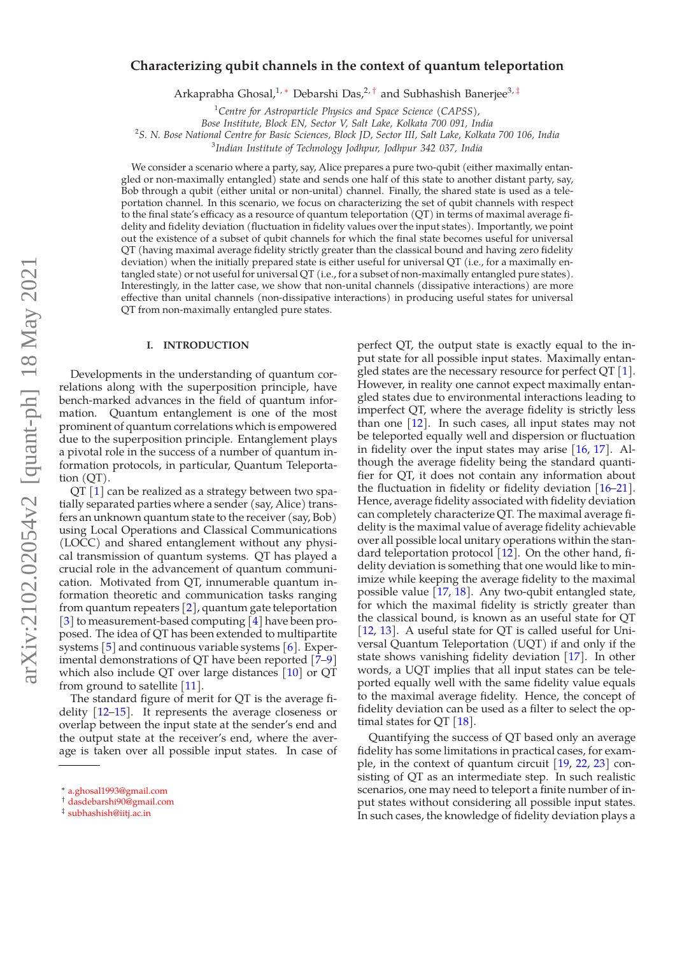# arXiv:2102.02054v2 [quant-ph] 18 May 2021 arXiv:2102.02054v2 [quant-ph] 18 May 2021

# **Characterizing qubit channels in the context of quantum teleportation**

Arkaprabha Ghosal,<sup>1,\*</sup> Debarshi Das,<sup>2,†</sup> and Subhashish Banerjee<sup>3,‡</sup>

<sup>1</sup>*Centre for Astroparticle Physics and Space Science (CAPSS),*

*Bose Institute, Block EN, Sector V, Salt Lake, Kolkata 700 091, India* 2 *S. N. Bose National Centre for Basic Sciences, Block JD, Sector III, Salt Lake, Kolkata 700 106, India*

3 *Indian Institute of Technology Jodhpur, Jodhpur 342 037, India*

We consider a scenario where a party, say, Alice prepares a pure two-qubit (either maximally entangled or non-maximally entangled) state and sends one half of this state to another distant party, say, Bob through a qubit (either unital or non-unital) channel. Finally, the shared state is used as a teleportation channel. In this scenario, we focus on characterizing the set of qubit channels with respect to the final state's efficacy as a resource of quantum teleportation (QT) in terms of maximal average fidelity and fidelity deviation (fluctuation in fidelity values over the input states). Importantly, we point out the existence of a subset of qubit channels for which the final state becomes useful for universal QT (having maximal average fidelity strictly greater than the classical bound and having zero fidelity deviation) when the initially prepared state is either useful for universal QT (i.e., for a maximally entangled state) or not useful for universal QT (i.e., for a subset of non-maximally entangled pure states). Interestingly, in the latter case, we show that non-unital channels (dissipative interactions) are more effective than unital channels (non-dissipative interactions) in producing useful states for universal QT from non-maximally entangled pure states.

### **I. INTRODUCTION**

Developments in the understanding of quantum correlations along with the superposition principle, have bench-marked advances in the field of quantum information. Quantum entanglement is one of the most prominent of quantum correlations which is empowered due to the superposition principle. Entanglement plays a pivotal role in the success of a number of quantum information protocols, in particular, Quantum Teleportation (QT).

 $QT<sub>[1]</sub>$  can be realized as a strategy between two spatially separated parties where a sender (say, Alice) transfers an unknown quantum state to the receiver (say, Bob) using Local Operations and Classical Communications (LOCC) and shared entanglement without any physical transmission of quantum systems. QT has played a crucial role in the advancement of quantum communication. Motivated from QT, innumerable quantum information theoretic and communication tasks ranging from quantum repeaters  $[2]$ , quantum gate teleportation [3] to measurement-based computing [4] have been proposed. The idea of QT has been extended to multipartite systems  $[5]$  and continuous variable systems  $[6]$ . Experimental demonstrations of QT have been reported [7–9] which also include QT over large distances [10] or QT from ground to satellite [11].

The standard figure of merit for QT is the average fidelity [12–15]. It represents the average closeness or overlap between the input state at the sender's end and the output state at the receiver's end, where the average is taken over all possible input states. In case of perfect QT, the output state is exactly equal to the input state for all possible input states. Maximally entangled states are the necessary resource for perfect  $QT[1]$ . However, in reality one cannot expect maximally entangled states due to environmental interactions leading to imperfect QT, where the average fidelity is strictly less than one  $[12]$ . In such cases, all input states may not be teleported equally well and dispersion or fluctuation in fidelity over the input states may arise [16, 17]. Although the average fidelity being the standard quantifier for QT, it does not contain any information about the fluctuation in fidelity or fidelity deviation  $[16–21]$ . Hence, average fidelity associated with fidelity deviation can completely characterize QT. The maximal average fidelity is the maximal value of average fidelity achievable over all possible local unitary operations within the standard teleportation protocol  $\left[1\right]$ . On the other hand, fidelity deviation is something that one would like to minimize while keeping the average fidelity to the maximal possible value [17, 18]. Any two-qubit entangled state, for which the maximal fidelity is strictly greater than the classical bound, is known as an useful state for QT [12, 13]. A useful state for QT is called useful for Universal Quantum Teleportation (UQT) if and only if the state shows vanishing fidelity deviation [17]. In other words, a UQT implies that all input states can be teleported equally well with the same fidelity value equals to the maximal average fidelity. Hence, the concept of fidelity deviation can be used as a filter to select the optimal states for  $QT [18]$ .

Quantifying the success of QT based only an average fidelity has some limitations in practical cases, for example, in the context of quantum circuit [19, 22, 23] consisting of QT as an intermediate step. In such realistic scenarios, one may need to teleport a finite number of input states without considering all possible input states. In such cases, the knowledge of fidelity deviation plays a

<sup>∗</sup> a.ghosal1993@gmail.com

<sup>†</sup> dasdebarshi90@gmail.com

<sup>‡</sup> subhashish@iitj.ac.in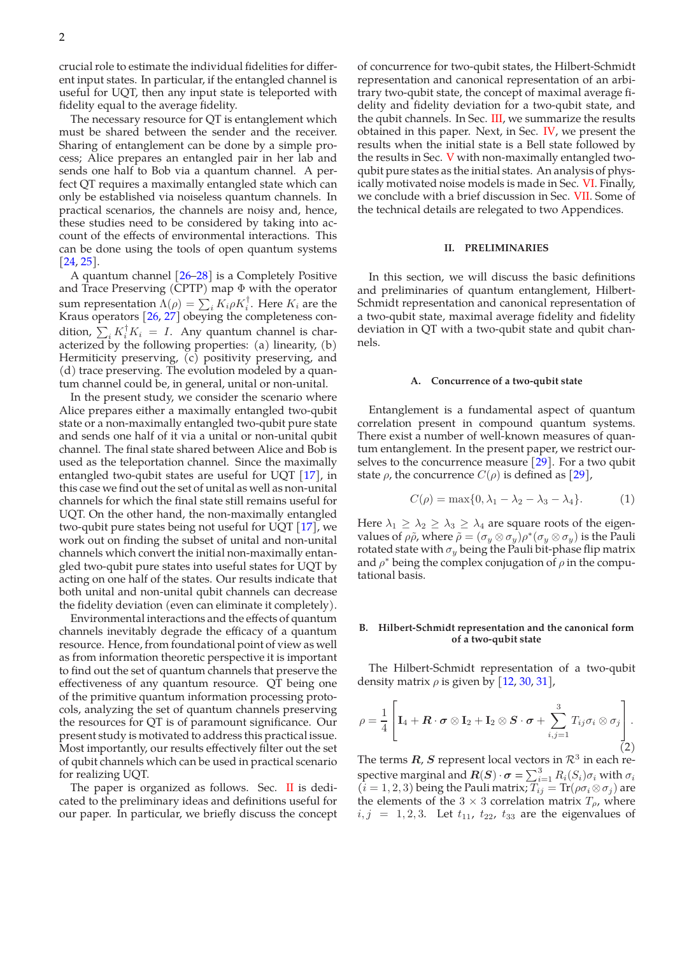crucial role to estimate the individual fidelities for different input states. In particular, if the entangled channel is useful for UQT, then any input state is teleported with fidelity equal to the average fidelity.

The necessary resource for QT is entanglement which must be shared between the sender and the receiver. Sharing of entanglement can be done by a simple process; Alice prepares an entangled pair in her lab and sends one half to Bob via a quantum channel. A perfect QT requires a maximally entangled state which can only be established via noiseless quantum channels. In practical scenarios, the channels are noisy and, hence, these studies need to be considered by taking into account of the effects of environmental interactions. This can be done using the tools of open quantum systems  $[24, 25]$ .

A quantum channel [26–28] is a Completely Positive and Trace Preserving (CPTP) map  $\Phi$  with the operator sum representation  $\Lambda(\rho) = \sum_i K_i \rho K_i^{\dagger}$ . Here  $K_i$  are the Kraus operators [26, 27] obeying the completeness condition,  $\sum_i K_i^{\dagger} K_i = I$ . Any quantum channel is characterized by the following properties: (a) linearity, (b) Hermiticity preserving, (c) positivity preserving, and (d) trace preserving. The evolution modeled by a quantum channel could be, in general, unital or non-unital.

In the present study, we consider the scenario where Alice prepares either a maximally entangled two-qubit state or a non-maximally entangled two-qubit pure state and sends one half of it via a unital or non-unital qubit channel. The final state shared between Alice and Bob is used as the teleportation channel. Since the maximally entangled two-qubit states are useful for UQT [17], in this case we find out the set of unital as well as non-unital channels for which the final state still remains useful for UQT. On the other hand, the non-maximally entangled two-qubit pure states being not useful for UQT [17], we work out on finding the subset of unital and non-unital channels which convert the initial non-maximally entangled two-qubit pure states into useful states for UQT by acting on one half of the states. Our results indicate that both unital and non-unital qubit channels can decrease the fidelity deviation (even can eliminate it completely).

Environmental interactions and the effects of quantum channels inevitably degrade the efficacy of a quantum resource. Hence, from foundational point of view as well as from information theoretic perspective it is important to find out the set of quantum channels that preserve the effectiveness of any quantum resource. QT being one of the primitive quantum information processing protocols, analyzing the set of quantum channels preserving the resources for QT is of paramount significance. Our present study is motivated to address this practical issue. Most importantly, our results effectively filter out the set of qubit channels which can be used in practical scenario for realizing UQT.

The paper is organized as follows. Sec.  $\mathbf I$  is dedicated to the preliminary ideas and definitions useful for our paper. In particular, we briefly discuss the concept

of concurrence for two-qubit states, the Hilbert-Schmidt representation and canonical representation of an arbitrary two-qubit state, the concept of maximal average fidelity and fidelity deviation for a two-qubit state, and the qubit channels. In Sec. III, we summarize the results obtained in this paper. Next, in Sec. IV, we present the results when the initial state is a Bell state followed by the results in Sec. V with non-maximally entangled twoqubit pure states as the initial states. An analysis of physically motivated noise models is made in Sec. VI. Finally, we conclude with a brief discussion in Sec. VII. Some of the technical details are relegated to two Appendices.

# **II. PRELIMINARIES**

In this section, we will discuss the basic definitions and preliminaries of quantum entanglement, Hilbert-Schmidt representation and canonical representation of a two-qubit state, maximal average fidelity and fidelity deviation in QT with a two-qubit state and qubit channels.

### **A. Concurrence of a two-qubit state**

Entanglement is a fundamental aspect of quantum correlation present in compound quantum systems. There exist a number of well-known measures of quantum entanglement. In the present paper, we restrict ourselves to the concurrence measure [29]. For a two qubit state  $\rho$ , the concurrence  $C(\rho)$  is defined as [29],

$$
C(\rho) = \max\{0, \lambda_1 - \lambda_2 - \lambda_3 - \lambda_4\}.
$$
 (1)

Here  $\lambda_1 \geq \lambda_2 \geq \lambda_3 \geq \lambda_4$  are square roots of the eigenvalues of  $\rho\tilde{\rho}$ , where  $\tilde{\rho}=(\sigma_y\otimes\sigma_y)\rho^*(\sigma_y\otimes\sigma_y)$  is the Pauli rotated state with  $\sigma_y$  being the Pauli bit-phase flip matrix and  $\rho^*$  being the complex conjugation of  $\rho$  in the computational basis.

# **B. Hilbert-Schmidt representation and the canonical form of a two-qubit state**

The Hilbert-Schmidt representation of a two-qubit density matrix  $\rho$  is given by [12, 30, 31],

$$
\rho = \frac{1}{4} \left[ \mathbf{I}_4 + \mathbf{R} \cdot \boldsymbol{\sigma} \otimes \mathbf{I}_2 + \mathbf{I}_2 \otimes \mathbf{S} \cdot \boldsymbol{\sigma} + \sum_{i,j=1}^3 T_{ij} \sigma_i \otimes \sigma_j \right].
$$
\n(2)

The terms  $R$ , S represent local vectors in  $\mathcal{R}^3$  in each respective marginal and  $R(S) \cdot \sigma = \sum_{i=1}^{3} R_i(S_i) \sigma_i$  with  $\sigma_i$  $(i = 1, 2, 3)$  being the Pauli matrix;  $T_{ij} = \text{Tr}(\rho \sigma_i \otimes \sigma_j)$  are the elements of the 3  $\times$  3 correlation matrix  $T_{\rho}$ , where  $i, j = 1, 2, 3$ . Let  $t_{11}$ ,  $t_{22}$ ,  $t_{33}$  are the eigenvalues of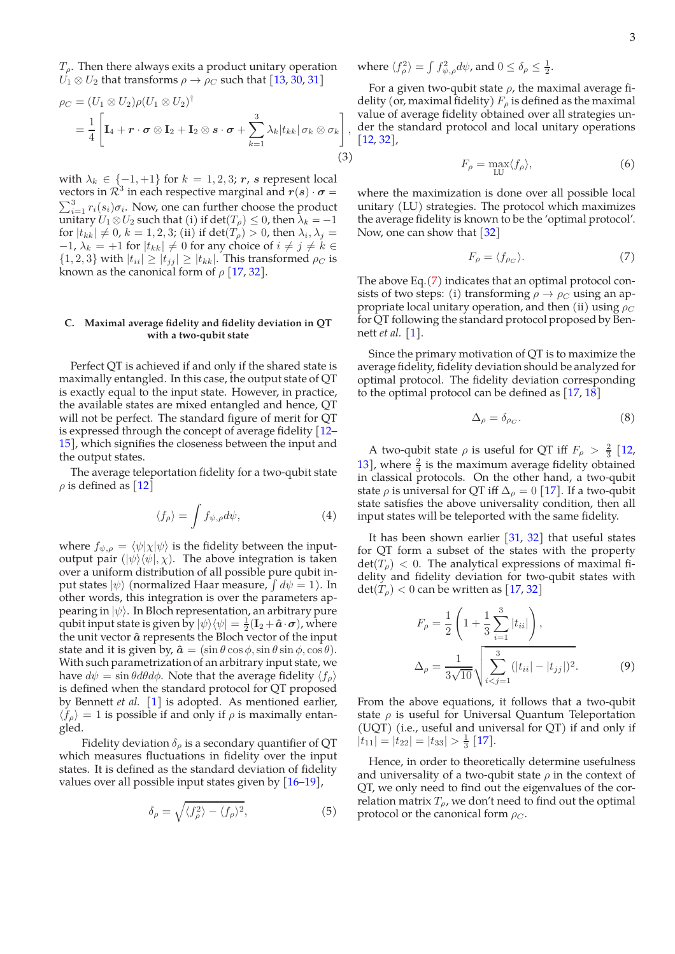$T_{\rho}$ . Then there always exits a product unitary operation  $U_1 \otimes U_2$  that transforms  $\rho \rightarrow \rho_C$  such that [13, 30, 31]

$$
\rho_C = (U_1 \otimes U_2) \rho (U_1 \otimes U_2)^{\dagger} \n= \frac{1}{4} \left[ \mathbf{I}_4 + \mathbf{r} \cdot \boldsymbol{\sigma} \otimes \mathbf{I}_2 + \mathbf{I}_2 \otimes \mathbf{s} \cdot \boldsymbol{\sigma} + \sum_{k=1}^3 \lambda_k |t_{kk}| \sigma_k \otimes \sigma_k \right],
$$
\n(3)

with  $\lambda_k \in \{-1, +1\}$  for  $k = 1, 2, 3$ ; r, s represent local vectors in  $\mathcal{R}^3$  in each respective marginal and  $r(s) \cdot \sigma = \sum_{i=1}^3 r_i(s_i) \sigma_i$ . Now, one can further choose the product  $\sum_{i=1}^{3} r_i(s_i) \sigma_i$ . Now, one can further choose the product unitary  $U_1 \otimes U_2$  such that (i) if  $\det(T_\rho) \leq 0$ , then  $\lambda_k = -1$ for  $|t_{kk}| \neq 0$ ,  $k = 1, 2, 3$ ; (ii) if  $\det(T_\rho) > 0$ , then  $\lambda_i, \lambda_j =$  $-1$ ,  $\lambda_k = +1$  for  $|t_{kk}| \neq 0$  for any choice of  $i \neq j \neq k \in \mathbb{R}$  $\{1, 2, 3\}$  with  $|t_{ii}| \ge |t_{jj}| \ge |t_{kk}|$ . This transformed  $\rho_C$  is known as the canonical form of  $\rho$  [17, 32].

### **C. Maximal average fidelity and fidelity deviation in QT with a two-qubit state**

Perfect QT is achieved if and only if the shared state is maximally entangled. In this case, the output state of QT is exactly equal to the input state. However, in practice, the available states are mixed entangled and hence, QT will not be perfect. The standard figure of merit for QT is expressed through the concept of average fidelity [12– 15], which signifies the closeness between the input and the output states.

The average teleportation fidelity for a two-qubit state  $\rho$  is defined as [12]

$$
\langle f_{\rho} \rangle = \int f_{\psi,\rho} d\psi, \tag{4}
$$

where  $f_{\psi,\rho} = \langle \psi | \chi | \psi \rangle$  is the fidelity between the inputoutput pair  $(|\psi\rangle\langle\psi|, \chi)$ . The above integration is taken over a uniform distribution of all possible pure qubit input states  $|\psi\rangle$  (normalized Haar measure,  $\int d\psi = 1$ ). In other words, this integration is over the parameters appearing in  $|\psi\rangle$ . In Bloch representation, an arbitrary pure qubit input state is given by  $|\psi\rangle\langle\psi| = \frac{1}{2}(\mathbf{I}_2 + \hat{\boldsymbol{a}}\cdot\boldsymbol{\sigma})$ , where the unit vector  $\hat{a}$  represents the Bloch vector of the input state and it is given by,  $\hat{\mathbf{a}} = (\sin \theta \cos \phi, \sin \theta \sin \phi, \cos \theta)$ . With such parametrization of an arbitrary input state, we have  $d\psi = \sin \theta d\theta d\phi$ . Note that the average fidelity  $\langle f_{\rho} \rangle$ is defined when the standard protocol for QT proposed by Bennett *et al.* [1] is adopted. As mentioned earlier,  $\langle f_{\rho} \rangle = 1$  is possible if and only if  $\rho$  is maximally entangled.

Fidelity deviation  $\delta_{\rho}$  is a secondary quantifier of QT which measures fluctuations in fidelity over the input states. It is defined as the standard deviation of fidelity values over all possible input states given by [16–19],

$$
\delta_{\rho} = \sqrt{\langle f_{\rho}^{2} \rangle - \langle f_{\rho} \rangle^{2}},\tag{5}
$$

where  $\langle f_\rho^2 \rangle = \int f_{\psi,\rho}^2 d\psi$ , and  $0 \le \delta_\rho \le \frac{1}{2}$ .

,

For a given two-qubit state  $\rho$ , the maximal average fidelity (or, maximal fidelity)  $F_{\rho}$  is defined as the maximal value of average fidelity obtained over all strategies under the standard protocol and local unitary operations [12, 32],

$$
F_{\rho} = \max_{LU} \langle f_{\rho} \rangle, \tag{6}
$$

where the maximization is done over all possible local unitary (LU) strategies. The protocol which maximizes the average fidelity is known to be the 'optimal protocol'. Now, one can show that [32]

$$
F_{\rho} = \langle f_{\rho C} \rangle. \tag{7}
$$

The above Eq.(7) indicates that an optimal protocol consists of two steps: (i) transforming  $\rho \rightarrow \rho_C$  using an appropriate local unitary operation, and then (ii) using  $\rho_C$ for QT following the standard protocol proposed by Bennett *et al.* [1].

Since the primary motivation of QT is to maximize the average fidelity, fidelity deviation should be analyzed for optimal protocol. The fidelity deviation corresponding to the optimal protocol can be defined as  $[17, 18]$ 

$$
\Delta_{\rho} = \delta_{\rho_C}.\tag{8}
$$

A two-qubit state  $\rho$  is useful for QT iff  $F_{\rho} > \frac{2}{3}$  [12, 13], where  $\frac{2}{3}$  is the maximum average fidelity obtained in classical protocols. On the other hand, a two-qubit state  $\rho$  is universal for QT iff  $\Delta_{\rho} = 0$  [17]. If a two-qubit state satisfies the above universality condition, then all input states will be teleported with the same fidelity.

It has been shown earlier  $[31, 32]$  that useful states for QT form a subset of the states with the property  $\det(T_\rho) < 0$ . The analytical expressions of maximal fidelity and fidelity deviation for two-qubit states with  $\det(T_\rho) < 0$  can be written as [17, 32]

$$
F_{\rho} = \frac{1}{2} \left( 1 + \frac{1}{3} \sum_{i=1}^{3} |t_{ii}| \right),
$$
  

$$
\Delta_{\rho} = \frac{1}{3\sqrt{10}} \sqrt{\sum_{i < j=1}^{3} (|t_{ii}| - |t_{jj}|)^2}.
$$
 (9)

From the above equations, it follows that a two-qubit state  $\rho$  is useful for Universal Quantum Teleportation (UQT) (i.e., useful and universal for QT) if and only if  $|t_{11}| = |t_{22}| = |t_{33}| > \frac{1}{3}$  [17].

Hence, in order to theoretically determine usefulness and universality of a two-qubit state  $\rho$  in the context of QT, we only need to find out the eigenvalues of the correlation matrix  $T_{\rho}$ , we don't need to find out the optimal protocol or the canonical form  $\rho_C$ .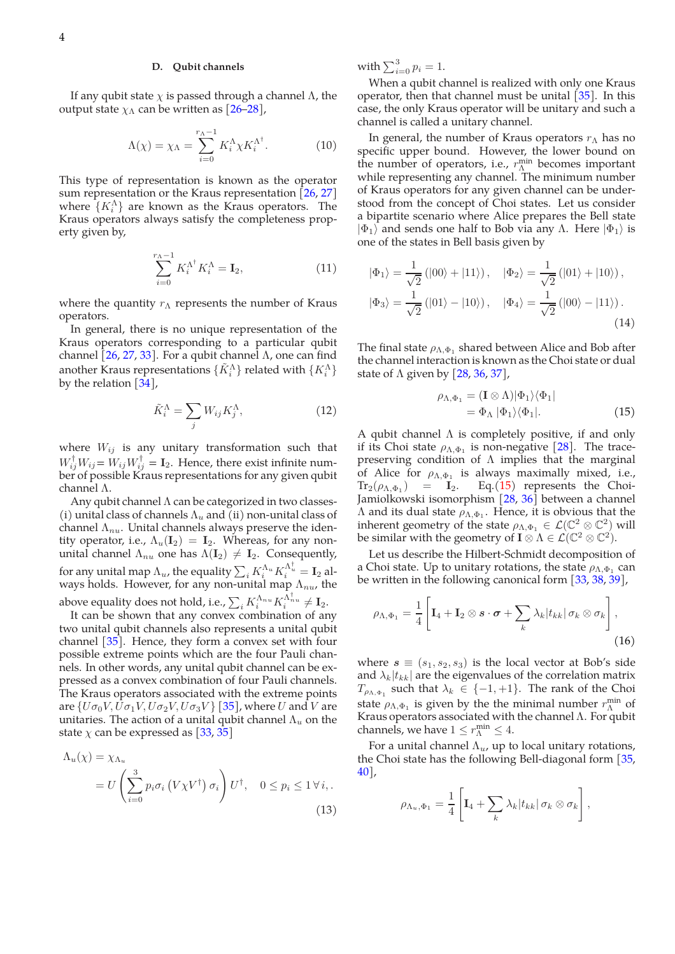# **D. Qubit channels**

If any qubit state  $\chi$  is passed through a channel  $\Lambda$ , the output state  $\chi_{\Lambda}$  can be written as  $[26-28]$ ,

$$
\Lambda(\chi) = \chi_{\Lambda} = \sum_{i=0}^{r_{\Lambda}-1} K_i^{\Lambda} \chi K_i^{\Lambda^{\dagger}}.
$$
 (10)

This type of representation is known as the operator sum representation or the Kraus representation  $[26, 27]$ where  $\{K_i^{\Lambda}\}$  are known as the Kraus operators. The Kraus operators always satisfy the completeness property given by,

$$
\sum_{i=0}^{r_{\Lambda}-1} K_i^{\Lambda^{\dagger}} K_i^{\Lambda} = \mathbf{I}_2,\tag{11}
$$

where the quantity  $r_{\Lambda}$  represents the number of Kraus operators.

In general, there is no unique representation of the Kraus operators corresponding to a particular qubit channel  $[26, 27, 33]$ . For a qubit channel  $\Lambda$ , one can find another Kraus representations  $\{\tilde{K}_i^{\Lambda}\}\$  related with  $\{K_i^{\Lambda}\}\$ by the relation  $[34]$ ,

$$
\tilde{K}_i^{\Lambda} = \sum_j W_{ij} K_j^{\Lambda},\tag{12}
$$

where  $W_{ij}$  is any unitary transformation such that  $W_{ij}^{\dagger}W_{ij} = W_{ij}W_{ij}^{\dagger} = \mathbf{I}_2$ . Hence, there exist infinite number of possible Kraus representations for any given qubit channel Λ.

Any qubit channel Λ can be categorized in two classes- (i) unital class of channels  $\Lambda_u$  and (ii) non-unital class of channel  $\Lambda_{nu}$ . Unital channels always preserve the identity operator, i.e.,  $\Lambda_u(I_2) = I_2$ . Whereas, for any nonunital channel  $\Lambda_{nu}$  one has  $\Lambda(\mathbf{I}_2) \neq \mathbf{I}_2$ . Consequently, for any unital map  $\Lambda_u$ , the equality  $\sum_i K_i^{\Lambda_u} K_i^{\Lambda_u^\dagger} = \mathbf{I}_2$  always holds. However, for any non-unital map  $\Lambda_{nu}$ , the above equality does not hold, i.e.,  $\sum_i K^{\Lambda_{nu}}_i K^{\Lambda^{\dagger}_{nu}}_i \neq \textbf{I}_2$ .

It can be shown that any convex combination of any two unital qubit channels also represents a unital qubit channel [35]. Hence, they form a convex set with four possible extreme points which are the four Pauli channels. In other words, any unital qubit channel can be expressed as a convex combination of four Pauli channels. The Kraus operators associated with the extreme points are  $\{U\sigma_0V, \bar{U}\sigma_1V, \bar{U}\sigma_2V, \bar{U}\sigma_3V\}$  [35], where U and V are unitaries. The action of a unital qubit channel  $\Lambda_u$  on the state  $\chi$  can be expressed as [33, 35]

$$
\Lambda_u(\chi) = \chi_{\Lambda_u}
$$
  
=  $U\left(\sum_{i=0}^3 p_i \sigma_i (V \chi V^{\dagger}) \sigma_i\right) U^{\dagger}, \quad 0 \le p_i \le 1 \forall i,.$  (13)

with  $\sum_{i=0}^3 p_i = 1$ .

When a qubit channel is realized with only one Kraus operator, then that channel must be unital  $\left[35\right]$ . In this case, the only Kraus operator will be unitary and such a channel is called a unitary channel.

In general, the number of Kraus operators  $r_{\Lambda}$  has no specific upper bound. However, the lower bound on the number of operators, i.e.,  $r_{\Lambda}^{\min}$  becomes important while representing any channel. The minimum number of Kraus operators for any given channel can be understood from the concept of Choi states. Let us consider a bipartite scenario where Alice prepares the Bell state  $|\Phi_1\rangle$  and sends one half to Bob via any Λ. Here  $|\Phi_1\rangle$  is one of the states in Bell basis given by

$$
|\Phi_1\rangle = \frac{1}{\sqrt{2}} (|00\rangle + |11\rangle), \quad |\Phi_2\rangle = \frac{1}{\sqrt{2}} (|01\rangle + |10\rangle),
$$
  

$$
|\Phi_3\rangle = \frac{1}{\sqrt{2}} (|01\rangle - |10\rangle), \quad |\Phi_4\rangle = \frac{1}{\sqrt{2}} (|00\rangle - |11\rangle).
$$
(14)

The final state  $\rho_{\Lambda, \Phi_1}$  shared between Alice and Bob after the channel interaction is known as the Choi state or dual state of  $\Lambda$  given by [28, 36, 37],

$$
\rho_{\Lambda,\Phi_1} = (\mathbf{I} \otimes \Lambda)|\Phi_1\rangle\langle\Phi_1|
$$
  
=  $\Phi_{\Lambda} |\Phi_1\rangle\langle\Phi_1|.$  (15)

A qubit channel  $\Lambda$  is completely positive, if and only if its Choi state  $\rho_{\Lambda,\Phi_1}$  is non-negative [28]. The tracepreserving condition of  $\Lambda$  implies that the marginal of Alice for  $\rho_{\Lambda,\Phi_1}$  is always maximally mixed, i.e.,  $\text{Tr}_2(\rho_{\Lambda,\Phi_1}) = \mathbf{I}_2.$  $Eq.(15)$  represents the Choi-Jamiolkowski isomorphism [28, 36] between a channel  $\Lambda$  and its dual state  $\rho_{\Lambda,\Phi_1}$ . Hence, it is obvious that the inherent geometry of the state  $\rho_{\Lambda,\Phi_1} \in \mathcal{L}(\mathbb{C}^2 \otimes \mathbb{C}^2)$  will be similar with the geometry of  $\mathbf{I} \otimes \Lambda \in \mathcal{L}(\mathbb{C}^2 \otimes \mathbb{C}^2)$ .

Let us describe the Hilbert-Schmidt decomposition of a Choi state. Up to unitary rotations, the state  $\rho_{\Lambda,\Phi_1}$  can be written in the following canonical form [33, 38, 39],

$$
\rho_{\Lambda,\Phi_1} = \frac{1}{4} \left[ \mathbf{I}_4 + \mathbf{I}_2 \otimes \mathbf{s} \cdot \boldsymbol{\sigma} + \sum_k \lambda_k |t_{kk}| \sigma_k \otimes \sigma_k \right],
$$
\n(16)

where  $s \equiv (s_1, s_2, s_3)$  is the local vector at Bob's side and  $\lambda_k|t_{kk}|$  are the eigenvalues of the correlation matrix  $T_{\rho_{\Lambda,\Phi_1}}$  such that  $\lambda_k \in \{-1,+1\}$ . The rank of the Choi state  $\rho_{\Lambda,\Phi_1}$  is given by the the minimal number  $r_{\Lambda}^{min}$  of Kraus operators associated with the channel Λ. For qubit channels, we have  $1 \leq r_{\Lambda}^{\min} \leq 4$ .

For a unital channel  $\Lambda_u$ , up to local unitary rotations, the Choi state has the following Bell-diagonal form  $\left[35, \right]$ 40],

$$
\rho_{\Lambda_u, \Phi_1} = \frac{1}{4} \left[ \mathbf{I}_4 + \sum_k \lambda_k |t_{kk}| \sigma_k \otimes \sigma_k \right],
$$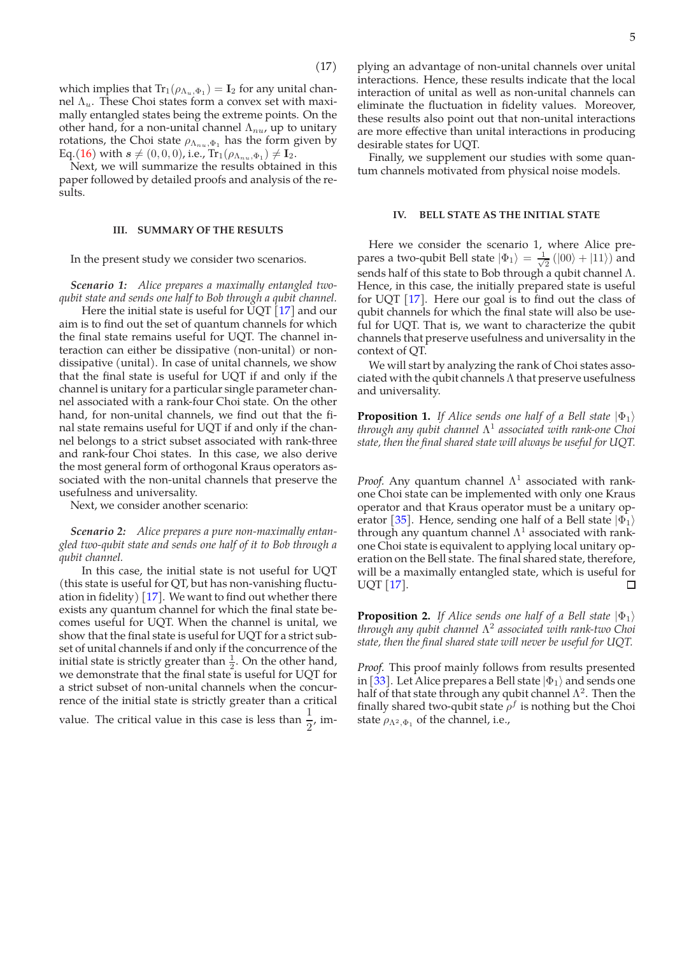which implies that  $Tr_1(\rho_{\Lambda_u, \Phi_1}) = I_2$  for any unital channel  $Λ<sub>u</sub>$ . These Choi states form a convex set with maximally entangled states being the extreme points. On the other hand, for a non-unital channel  $\Lambda_{nu}$ , up to unitary rotations, the Choi state  $\rho_{\Lambda_{nu},\Phi_1}$  has the form given by Eq.(16) with  $s \neq (0, 0, 0)$ , i.e.,  $Tr_1(\rho_{\Lambda_{nu}, \Phi_1}) \neq I_2$ .

Next, we will summarize the results obtained in this paper followed by detailed proofs and analysis of the results.

# **III. SUMMARY OF THE RESULTS**

In the present study we consider two scenarios.

*Scenario 1: Alice prepares a maximally entangled twoqubit state and sends one half to Bob through a qubit channel.*

Here the initial state is useful for  $\overline{U}OT$  [17] and our aim is to find out the set of quantum channels for which the final state remains useful for UQT. The channel interaction can either be dissipative (non-unital) or nondissipative (unital). In case of unital channels, we show that the final state is useful for UQT if and only if the channel is unitary for a particular single parameter channel associated with a rank-four Choi state. On the other hand, for non-unital channels, we find out that the final state remains useful for UQT if and only if the channel belongs to a strict subset associated with rank-three and rank-four Choi states. In this case, we also derive the most general form of orthogonal Kraus operators associated with the non-unital channels that preserve the usefulness and universality.

Next, we consider another scenario:

*Scenario 2: Alice prepares a pure non-maximally entangled two-qubit state and sends one half of it to Bob through a qubit channel.*

In this case, the initial state is not useful for UQT (this state is useful for QT, but has non-vanishing fluctuation in fidelity)  $\left[17\right]$ . We want to find out whether there exists any quantum channel for which the final state becomes useful for UQT. When the channel is unital, we show that the final state is useful for UQT for a strict subset of unital channels if and only if the concurrence of the initial state is strictly greater than  $\frac{1}{2}$ . On the other hand, we demonstrate that the final state is useful for UQT for a strict subset of non-unital channels when the concurrence of the initial state is strictly greater than a critical

value. The critical value in this case is less than  $\frac{1}{2}$ , im-

plying an advantage of non-unital channels over unital interactions. Hence, these results indicate that the local interaction of unital as well as non-unital channels can eliminate the fluctuation in fidelity values. Moreover, these results also point out that non-unital interactions are more effective than unital interactions in producing desirable states for UQT.

Finally, we supplement our studies with some quantum channels motivated from physical noise models.

# **IV. BELL STATE AS THE INITIAL STATE**

Here we consider the scenario 1, where Alice prepares a two-qubit Bell state  $|\Phi_1\rangle = \frac{1}{\sqrt{2}}$  $\frac{1}{2}(|00\rangle + |11\rangle)$  and sends half of this state to Bob through a qubit channel Λ. Hence, in this case, the initially prepared state is useful for UQT [17]. Here our goal is to find out the class of qubit channels for which the final state will also be useful for UQT. That is, we want to characterize the qubit channels that preserve usefulness and universality in the context of QT.

We will start by analyzing the rank of Choi states associated with the qubit channels  $\Lambda$  that preserve usefulness and universality.

**Proposition 1.** *If Alice sends one half of a Bell state*  $|\Phi_1\rangle$ *through any qubit channel* Λ 1 *associated with rank-one Choi state, then the final shared state will always be useful for UQT.*

*Proof.* Any quantum channel  $\Lambda^1$  associated with rankone Choi state can be implemented with only one Kraus operator and that Kraus operator must be a unitary operator [35]. Hence, sending one half of a Bell state  $|\Phi_1\rangle$ through any quantum channel  $\Lambda^1$  associated with rankone Choi state is equivalent to applying local unitary operation on the Bell state. The final shared state, therefore, will be a maximally entangled state, which is useful for UQT [17]. П

**Proposition 2.** *If Alice sends one half of a Bell state*  $|\Phi_1\rangle$ *through any qubit channel* Λ 2 *associated with rank-two Choi state, then the final shared state will never be useful for UQT.*

*Proof.* This proof mainly follows from results presented in [33]. Let Alice prepares a Bell state  $|\Phi_1\rangle$  and sends one half of that state through any qubit channel  $\Lambda^2$ . Then the finally shared two-qubit state  $\rho^f$  is nothing but the Choi state  $\rho_{\Lambda^2,\Phi_1}$  of the channel, i.e.,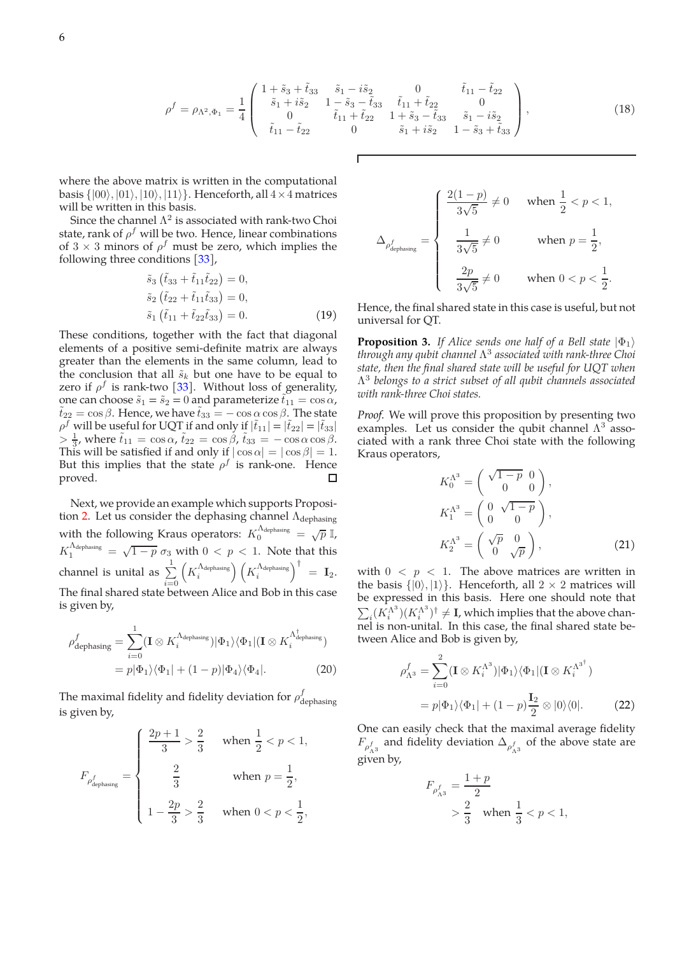$$
\rho^f = \rho_{\Lambda^2, \Phi_1} = \frac{1}{4} \begin{pmatrix} 1 + \tilde{s}_3 + \tilde{t}_{33} & \tilde{s}_1 - i\tilde{s}_2 & 0 & \tilde{t}_{11} - \tilde{t}_{22} \\ \tilde{s}_1 + i\tilde{s}_2 & 1 - \tilde{s}_3 - \tilde{t}_{33} & \tilde{t}_{11} + \tilde{t}_{22} & 0 \\ 0 & \tilde{t}_{11} + \tilde{t}_{22} & 1 + \tilde{s}_3 - \tilde{t}_{33} & \tilde{s}_1 - i\tilde{s}_2 \\ \tilde{t}_{11} - \tilde{t}_{22} & 0 & \tilde{s}_1 + i\tilde{s}_2 & 1 - \tilde{s}_3 + \tilde{t}_{33} \end{pmatrix},
$$
\n(18)

where the above matrix is written in the computational basis  $\{|00\rangle, |01\rangle, |10\rangle, |11\rangle\}$ . Henceforth, all  $4 \times 4$  matrices will be written in this basis.

Since the channel  $\Lambda^2$  is associated with rank-two Choi state, rank of  $\rho^f$  will be two. Hence, linear combinations of  $3 \times 3$  minors of  $\rho^f$  must be zero, which implies the following three conditions [33],

$$
\tilde{s}_3 \left( \tilde{t}_{33} + \tilde{t}_{11} \tilde{t}_{22} \right) = 0,
$$
  
\n
$$
\tilde{s}_2 \left( \tilde{t}_{22} + \tilde{t}_{11} \tilde{t}_{33} \right) = 0,
$$
  
\n
$$
\tilde{s}_1 \left( \tilde{t}_{11} + \tilde{t}_{22} \tilde{t}_{33} \right) = 0.
$$
\n(19)

These conditions, together with the fact that diagonal elements of a positive semi-definite matrix are always greater than the elements in the same column, lead to the conclusion that all  $\tilde{s}_k$  but one have to be equal to zero if  $\rho^f$  is rank-two [33]. Without loss of generality, one can choose  $\tilde{s}_1 = \tilde{s}_2 = 0$  and parameterize  $\tilde{t}_{11} = \cos \alpha$ ,  $\tilde{t}_{22} = \cos \beta$ . Hence, we have  $\tilde{t}_{33} = -\cos \alpha \cos \beta$ . The state  $\rho^f$  will be useful for UQT if and only if  $|\tilde{t}_{11}| = |\tilde{t}_{22}| = |\tilde{t}_{33}|$  $> \frac{1}{3}$ , where  $\tilde{t}_{11} = \cos \alpha$ ,  $\tilde{t}_{22} = \cos \beta$ ,  $\tilde{t}_{33} = -\cos \alpha \cos \beta$ . This will be satisfied if and only if  $|\cos \alpha| = |\cos \beta| = 1$ . But this implies that the state  $\rho^f$  is rank-one. Hence proved.  $\Box$ 

Next, we provide an example which supports Proposition 2. Let us consider the dephasing channel  $\Lambda_{\text{dephasing}}$ with the following Kraus operators:  $K_0^{\Lambda_{\text{dephasing}}} = \sqrt{p} \, \mathbb{I}$ ,  $K_1^{\Lambda_{\text{dephasing}}} = \sqrt{1-p} \sigma_3$  with  $0 < p < 1$ . Note that this channel is unital as  $\sum^1$  $i=0$  $\left(K_i^{\Lambda_{\text{dephasing}}}\right)\left(K_i^{\Lambda_{\text{dephasing}}}\right)^{\dagger} = \mathbf{I}_2.$ The final shared state between Alice and Bob in this case is given by,

$$
\rho_{\text{dephasing}}^f = \sum_{i=0}^1 (\mathbf{I} \otimes K_i^{\Lambda_{\text{dephasing}}}) |\Phi_1\rangle \langle \Phi_1 | (\mathbf{I} \otimes K_i^{\Lambda_{\text{dephasing}}^{\dagger}})
$$
  
=  $p|\Phi_1\rangle \langle \Phi_1 | + (1-p)|\Phi_4\rangle \langle \Phi_4 |.$  (20)

The maximal fidelity and fidelity deviation for  $\rho_d^f$ dephasing is given by,

$$
F_{\rho_{\text{dephasing}}^f} = \begin{cases} \frac{2p+1}{3} > \frac{2}{3} & \text{ when } \frac{1}{2} < p < 1, \\[10pt] \frac{2}{3} & \text{ when } p = \frac{1}{2}, \\[10pt] 1 - \frac{2p}{3} > \frac{2}{3} & \text{ when } 0 < p < \frac{1}{2}, \end{cases}
$$

$$
\Delta_{\rho_{\text{dephasing}}^f} = \begin{cases} \frac{2(1-p)}{3\sqrt{5}} \neq 0 & \text{when } \frac{1}{2} < p < 1, \\ & \frac{1}{3\sqrt{5}} \neq 0 & \text{when } p = \frac{1}{2}, \\ & \frac{2p}{3\sqrt{5}} \neq 0 & \text{when } 0 < p < \frac{1}{2}. \end{cases}
$$

Hence, the final shared state in this case is useful, but not universal for QT.

**Proposition 3.** *If Alice sends one half of a Bell state*  $|\Phi_1\rangle$ *through any qubit channel* Λ 3 *associated with rank-three Choi state, then the final shared state will be useful for UQT when* Λ 3 *belongs to a strict subset of all qubit channels associated with rank-three Choi states.*

*Proof.* We will prove this proposition by presenting two examples. Let us consider the qubit channel  $\Lambda^3$  associated with a rank three Choi state with the following Kraus operators,

$$
K_0^{\Lambda^3} = \begin{pmatrix} \sqrt{1-p} & 0 \\ 0 & 0 \end{pmatrix},
$$
  
\n
$$
K_1^{\Lambda^3} = \begin{pmatrix} 0 & \sqrt{1-p} \\ 0 & 0 \end{pmatrix},
$$
  
\n
$$
K_2^{\Lambda^3} = \begin{pmatrix} \sqrt{p} & 0 \\ 0 & \sqrt{p} \end{pmatrix},
$$
\n(21)

with  $0 < p < 1$ . The above matrices are written in the basis  $\{|0\rangle, |1\rangle\}$ . Henceforth, all  $2 \times 2$  matrices will be expressed in this basis. Here one should note that  $\sum_i (\hat{K^{\Lambda^3}_i}$  $\binom{\Lambda^3}{i} (K_i^{\Lambda^3})$  $\Lambda^{(A^3)}$ <sup>†</sup>  $\neq$  **I**, which implies that the above channel is non-unital. In this case, the final shared state between Alice and Bob is given by,

$$
\rho_{\Lambda^3}^f = \sum_{i=0}^2 (\mathbf{I} \otimes K_i^{\Lambda^3}) |\Phi_1\rangle \langle \Phi_1 | (\mathbf{I} \otimes K_i^{\Lambda^3})
$$

$$
= p |\Phi_1\rangle \langle \Phi_1 | + (1 - p) \frac{\mathbf{I}_2}{2} \otimes |0\rangle \langle 0|.
$$
 (22)

One can easily check that the maximal average fidelity  $F_{\rho_{\Lambda^3}^f}$  and fidelity deviation  $\Delta_{\rho_{\Lambda^3}^f}$  of the above state are given by,

$$
F_{\rho_{\Lambda^3}^f} = \frac{1+p}{2}
$$
  
>  $\frac{2}{3}$  when  $\frac{1}{3} < p < 1$ ,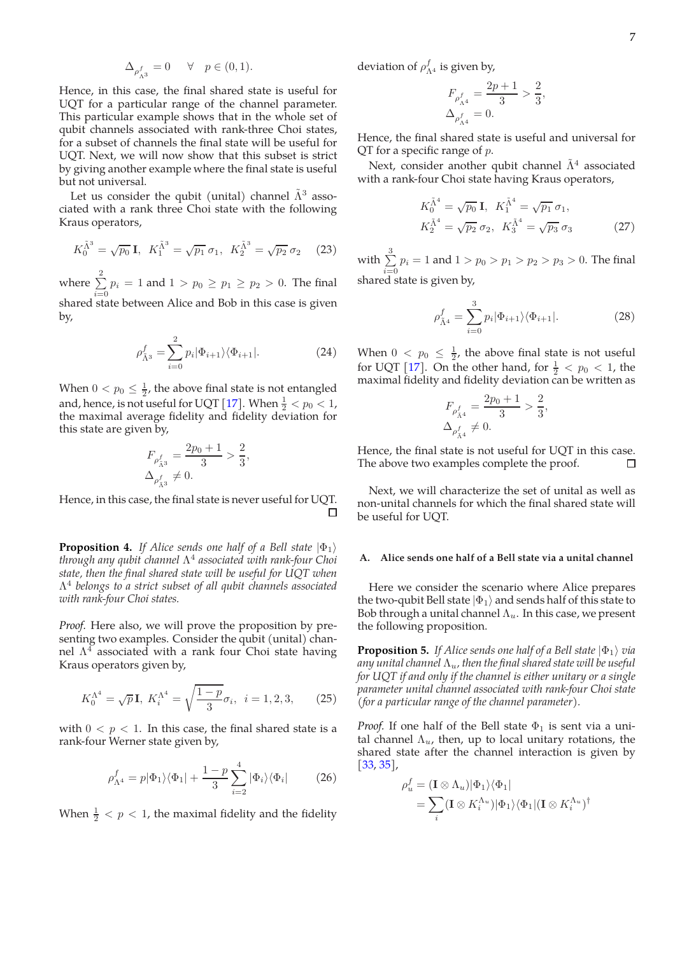$$
\Delta_{\rho^f_{\Lambda^3}} = 0 \quad \ \forall \quad p \in (0,1).
$$

Hence, in this case, the final shared state is useful for UQT for a particular range of the channel parameter. This particular example shows that in the whole set of qubit channels associated with rank-three Choi states, for a subset of channels the final state will be useful for UQT. Next, we will now show that this subset is strict by giving another example where the final state is useful but not universal.

Let us consider the qubit (unital) channel  $\tilde{\Lambda}^3$  associated with a rank three Choi state with the following Kraus operators,

$$
K_0^{\tilde{\Lambda}^3} = \sqrt{p_0} \mathbf{I}, \ K_1^{\tilde{\Lambda}^3} = \sqrt{p_1} \ \sigma_1, \ K_2^{\tilde{\Lambda}^3} = \sqrt{p_2} \ \sigma_2 \tag{23}
$$

where  $\sum^2$  $\sum_{i=0} p_i = 1$  and  $1 > p_0 \ge p_1 \ge p_2 > 0$ . The final shared state between Alice and Bob in this case is given by,

$$
\rho_{\tilde{\Lambda}^3}^f = \sum_{i=0}^2 p_i |\Phi_{i+1}\rangle \langle \Phi_{i+1}|.
$$
 (24)

When  $0 < p_0 \leq \frac{1}{2}$ , the above final state is not entangled and, hence, is not useful for UQT [17]. When  $\frac{1}{2} < p_0 < 1$ , the maximal average fidelity and fidelity deviation for this state are given by,

$$
\begin{split} F_{\rho^f_{\tilde{\Lambda}^3}} &= \frac{2p_0+1}{3} > \frac{2}{3}, \\ \Delta_{\rho^f_{\tilde{\Lambda}^3}} &\neq 0. \end{split}
$$

Hence, in this case, the final state is never useful for UQT.

**Proposition 4.** *If Alice sends one half of a Bell state*  $|\Phi_1\rangle$ *through any qubit channel* Λ 4 *associated with rank-four Choi state, then the final shared state will be useful for UQT when* Λ 4 *belongs to a strict subset of all qubit channels associated with rank-four Choi states.*

*Proof.* Here also, we will prove the proposition by presenting two examples. Consider the qubit (unital) channel  $\Lambda^4$  associated with a rank four Choi state having Kraus operators given by,

$$
K_0^{\Lambda^4} = \sqrt{p} \mathbf{I}, \ K_i^{\Lambda^4} = \sqrt{\frac{1-p}{3}} \sigma_i, \ i = 1, 2, 3, \qquad (25)
$$

with  $0 < p < 1$ . In this case, the final shared state is a rank-four Werner state given by,

$$
\rho_{\Lambda^4}^f = p|\Phi_1\rangle\langle\Phi_1| + \frac{1-p}{3} \sum_{i=2}^4 |\Phi_i\rangle\langle\Phi_i| \tag{26}
$$

When  $\frac{1}{2}$  <  $p$  < 1, the maximal fidelity and the fidelity

deviation of  $\rho_{\Lambda^4}^f$  is given by,

$$
\begin{split} F_{\rho^f_{\Lambda^4}} &= \frac{2p+1}{3} > \frac{2}{3}, \\ \Delta_{\rho^f_{\Lambda^4}} &= 0. \end{split}
$$

Hence, the final shared state is useful and universal for  $QT$  for a specific range of  $p$ .

Next, consider another qubit channel  $\tilde{\Lambda}^4$  associated with a rank-four Choi state having Kraus operators,

$$
K_0^{\tilde{\Lambda}^4} = \sqrt{p_0} \mathbf{I}, \quad K_1^{\tilde{\Lambda}^4} = \sqrt{p_1} \sigma_1,
$$
  
\n
$$
K_2^{\tilde{\Lambda}^4} = \sqrt{p_2} \sigma_2, \quad K_3^{\tilde{\Lambda}^4} = \sqrt{p_3} \sigma_3
$$
\n(27)

with  $\sum^3$  $\sum\limits_{i=0} p_i = 1$  and  $1 > p_0 > p_1 > p_2 > p_3 > 0$ . The final shared state is given by,

$$
\rho_{\tilde{\Lambda}^4}^f = \sum_{i=0}^3 p_i |\Phi_{i+1}\rangle \langle \Phi_{i+1}|.
$$
 (28)

When  $0 < p_0 \leq \frac{1}{2}$ , the above final state is not useful for UQT [17]. On the other hand, for  $\frac{1}{2} < p_0 < 1$ , the maximal fidelity and fidelity deviation can be written as

$$
\begin{split} F_{\rho^f_{\tilde{\Lambda}^4}} &= \frac{2p_0+1}{3} > \frac{2}{3}, \\ \Delta_{\rho^f_{\tilde{\Lambda}^4}} &\neq 0. \end{split}
$$

Hence, the final state is not useful for UQT in this case. The above two examples complete the proof.  $\Box$ 

Next, we will characterize the set of unital as well as non-unital channels for which the final shared state will be useful for UQT.

### **A. Alice sends one half of a Bell state via a unital channel**

Here we consider the scenario where Alice prepares the two-qubit Bell state  $|\Phi_1\rangle$  and sends half of this state to Bob through a unital channel  $\Lambda_u$ . In this case, we present the following proposition.

**Proposition 5.** *If Alice sends one half of a Bell state*  $|\Phi_1\rangle$  *via any unital channel*  $\Lambda_u$ , then the final shared state will be useful *for UQT if and only if the channel is either unitary or a single parameter unital channel associated with rank-four Choi state (for a particular range of the channel parameter).*

*Proof.* If one half of the Bell state  $\Phi_1$  is sent via a unital channel  $\Lambda_u$ , then, up to local unitary rotations, the shared state after the channel interaction is given by [33, 35],

$$
\rho_u^f = (\mathbf{I} \otimes \Lambda_u) |\Phi_1\rangle \langle \Phi_1|
$$
  
= 
$$
\sum_i (\mathbf{I} \otimes K_i^{\Lambda_u}) |\Phi_1\rangle \langle \Phi_1| (\mathbf{I} \otimes K_i^{\Lambda_u})^\dagger
$$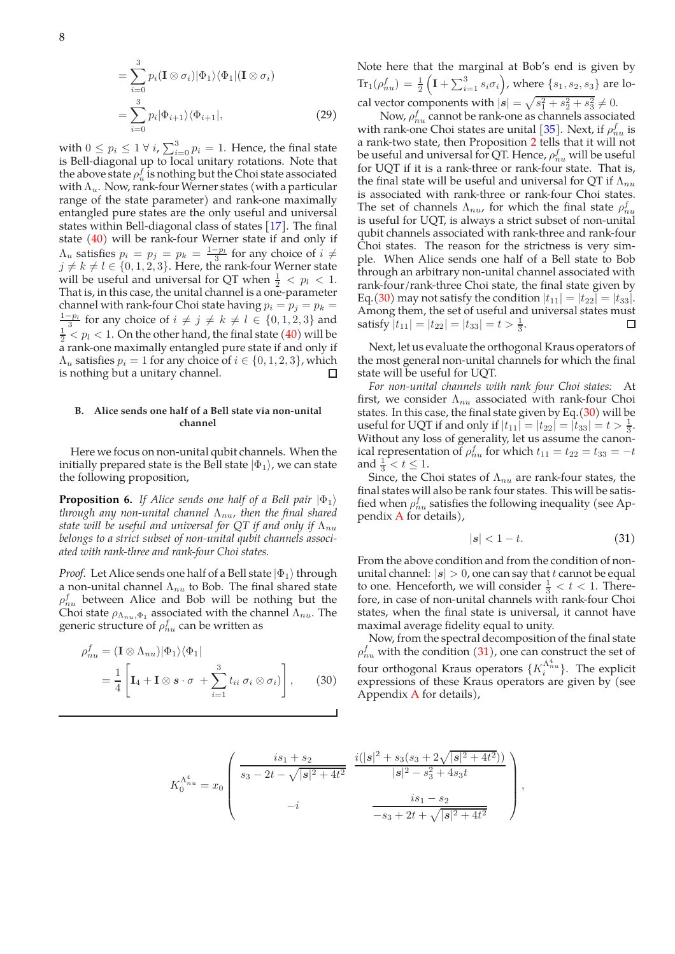$$
= \sum_{i=0}^{3} p_i (\mathbf{I} \otimes \sigma_i) |\Phi_1\rangle \langle \Phi_1 | (\mathbf{I} \otimes \sigma_i)
$$
  

$$
= \sum_{i=0}^{3} p_i |\Phi_{i+1}\rangle \langle \Phi_{i+1}|,
$$
 (29)

with  $0 \leq p_i \leq 1 \ \forall \ i$ ,  $\sum_{i=0}^{3} p_i = 1$ . Hence, the final state is Bell-diagonal up to local unitary rotations. Note that the above state  $\rho_u^f$  is nothing but the Choi state associated with  $\Lambda_u$ . Now, rank-four Werner states (with a particular range of the state parameter) and rank-one maximally entangled pure states are the only useful and universal states within Bell-diagonal class of states [17]. The final state (40) will be rank-four Werner state if and only if  $\Lambda_u$  satisfies  $p_i = p_j = p_k = \frac{1-p_l}{3}$  for any choice of  $i \neq$  $j \neq k \neq l \in \{0, 1, 2, 3\}$ . Here, the rank-four Werner state will be useful and universal for QT when  $\frac{1}{2} < p_l < 1$ . That is, in this case, the unital channel is a one-parameter channel with rank-four Choi state having  $p_i = p_j = p_k =$  $\frac{1-p_l}{3}$  for any choice of  $i \neq j \neq k \neq l \in \{0, 1, 2, 3\}$  and  $\frac{1}{2} < p_l < 1.$  On the other hand, the final state (40) will be a rank-one maximally entangled pure state if and only if  $\Lambda_u$  satisfies  $p_i = 1$  for any choice of  $i \in \{0, 1, 2, 3\}$ , which is nothing but a unitary channel is nothing but a unitary channel.

### **B. Alice sends one half of a Bell state via non-unital channel**

Here we focus on non-unital qubit channels. When the initially prepared state is the Bell state  $|\Phi_1\rangle$ , we can state the following proposition,

**Proposition 6.** *If Alice sends one half of a Bell pair*  $|\Phi_1\rangle$ *through any non-unital channel*  $Λ<sub>nu</sub>$ *, then the final shared state will be useful and universal for QT if and only if*  $\Lambda_{nu}$ *belongs to a strict subset of non-unital qubit channels associated with rank-three and rank-four Choi states.*

*Proof.* Let Alice sends one half of a Bell state  $|\Phi_1\rangle$  through a non-unital channel  $\Lambda_{nu}$  to Bob. The final shared state  $\rho_{nu}^{f}$  between Alice and Bob will be nothing but the Choi state  $\rho_{\Lambda_{nu},\Phi_1}$  associated with the channel  $\Lambda_{nu}$ . The generic structure of  $\rho_{nu}^{f}$  can be written as

$$
\rho_{nu}^f = (\mathbf{I} \otimes \Lambda_{nu}) |\Phi_1\rangle \langle \Phi_1|
$$
  
=  $\frac{1}{4} \left[ \mathbf{I}_4 + \mathbf{I} \otimes \mathbf{s} \cdot \sigma + \sum_{i=1}^3 t_{ii} \sigma_i \otimes \sigma_i \right],$  (30)

Note here that the marginal at Bob's end is given by  $\text{Tr}_1(\rho_{nu}^f) = \frac{1}{2}$  $($ **I** +  $\sum_{i=1}^{3} s_i \sigma_i$  $)$ , where  $\{s_1, s_2, s_3\}$  are local vector components with  $|s| = \sqrt{s_1^2 + s_2^2 + s_3^2} \neq 0$ .

Now,  $\rho_{nu}^{f}$  cannot be rank-one as channels associated with rank-one Choi states are unital [35]. Next, if  $\rho_{nu}^f$  is a rank-two state, then Proposition 2 tells that it will not be useful and universal for QT. Hence,  $\rho_{nu}^f$  will be useful for UQT if it is a rank-three or rank-four state. That is, the final state will be useful and universal for QT if  $\Lambda_{nu}$ is associated with rank-three or rank-four Choi states. The set of channels  $\Lambda_{nu}$ , for which the final state  $\rho_{nu}^f$ is useful for UQT, is always a strict subset of non-unital qubit channels associated with rank-three and rank-four Choi states. The reason for the strictness is very simple. When Alice sends one half of a Bell state to Bob through an arbitrary non-unital channel associated with rank-four/rank-three Choi state, the final state given by Eq.(30) may not satisfy the condition  $|t_{11}| = |t_{22}| = |t_{33}|$ . Among them, the set of useful and universal states must satisfy  $|t_{11}| = |t_{22}| = |t_{33}| = t > \frac{1}{3}$ .  $\Box$ 

Next, let us evaluate the orthogonal Kraus operators of the most general non-unital channels for which the final state will be useful for UQT.

*For non-unital channels with rank four Choi states:* At first, we consider  $\Lambda_{nu}$  associated with rank-four Choi states. In this case, the final state given by Eq. $(30)$  will be useful for UQT if and only if  $|t_{11}| = |t_{22}| = |t_{33}| = t > \frac{1}{3}$ . Without any loss of generality, let us assume the canonical representation of  $\rho_{nu}^f$  for which  $t_{11} = t_{22} = t_{33} = -t$ and  $\frac{1}{3} < t \leq 1$ .

Since, the Choi states of  $\Lambda_{nu}$  are rank-four states, the final states will also be rank four states. This will be satisfied when  $\rho_{nu}^{f}$  satisfies the following inequality (see Appendix A for details),

$$
|s| < 1 - t. \tag{31}
$$

From the above condition and from the condition of nonunital channel:  $|s| > 0$ , one can say that t cannot be equal to one. Henceforth, we will consider  $\frac{1}{3} < t < 1$ . Therefore, in case of non-unital channels with rank-four Choi states, when the final state is universal, it cannot have maximal average fidelity equal to unity.

Now, from the spectral decomposition of the final state  $\rho_{nu}^{f}$  with the condition (31), one can construct the set of four orthogonal Kraus operators  $\{K_i^{\Lambda_{nu}^4}\}$ . The explicit expressions of these Kraus operators are given by (see Appendix A for details),

$$
K_0^{\Lambda_{nu}^4} = x_0 \begin{pmatrix} is_1 + s_2 & i(|s|^2 + s_3(s_3 + 2\sqrt{|s|^2 + 4t^2})) \\ s_3 - 2t - \sqrt{|s|^2 + 4t^2} & |s|^2 - s_3^2 + 4s_3t \\ -i & \frac{is_1 - s_2}{-s_3 + 2t + \sqrt{|s|^2 + 4t^2}} \end{pmatrix},
$$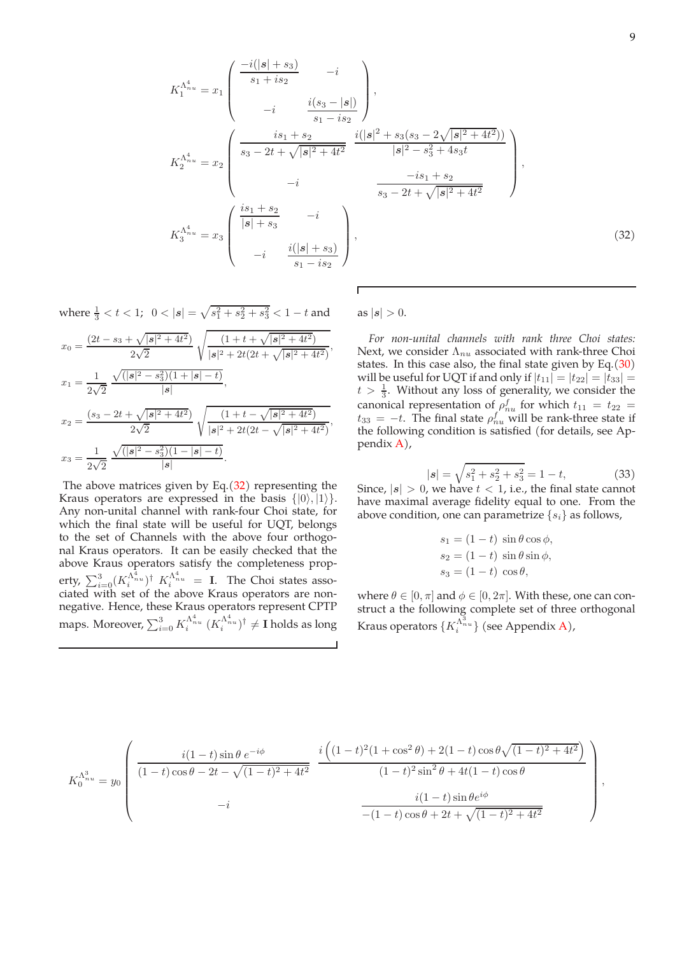$$
K_1^{\Lambda_{nu}^4} = x_1 \begin{pmatrix} \frac{-i(|s| + s_3)}{s_1 + is_2} & -i \\ & \frac{i(s_3 - |s|)}{s_1 - is_2} \end{pmatrix},
$$
  
\n
$$
K_2^{\Lambda_{nu}^4} = x_2 \begin{pmatrix} \frac{is_1 + s_2}{s_3 - 2t + \sqrt{|s|^2 + 4t^2}} & \frac{i(|s|^2 + s_3(s_3 - 2\sqrt{|s|^2 + 4t^2})}{|s|^2 - s_3^2 + 4s_3t} \\ & -i & \frac{-is_1 + s_2}{s_3 - 2t + \sqrt{|s|^2 + 4t^2}} \end{pmatrix},
$$
  
\n
$$
K_3^{\Lambda_{nu}^4} = x_3 \begin{pmatrix} \frac{is_1 + s_2}{|s| + s_3} & -i \\ & \frac{i(|s| + s_3)}{s_1 - is_2} \end{pmatrix},
$$
  
\n(32)

where  $\frac{1}{3} < t < 1$ ;  $0 < |s| = \sqrt{s_1^2 + s_2^2 + s_3^2} < 1 - t$  and

$$
x_0 = \frac{(2t - s_3 + \sqrt{|s|^2 + 4t^2})}{2\sqrt{2}} \sqrt{\frac{(1 + t + \sqrt{|s|^2 + 4t^2})}{|s|^2 + 2t(2t + \sqrt{|s|^2 + 4t^2})}},
$$
  
\n
$$
x_1 = \frac{1}{2\sqrt{2}} \frac{\sqrt{(|s|^2 - s_3^2)(1 + |s| - t)}}{|s|},
$$
  
\n
$$
x_2 = \frac{(s_3 - 2t + \sqrt{|s|^2 + 4t^2})}{2\sqrt{2}} \sqrt{\frac{(1 + t - \sqrt{|s|^2 + 4t^2})}{|s|^2 + 2t(2t - \sqrt{|s|^2 + 4t^2})}},
$$
  
\n
$$
x_3 = \frac{1}{2\sqrt{2}} \frac{\sqrt{(|s|^2 - s_3^2)(1 - |s| - t)}}{|s|}.
$$

The above matrices given by Eq. $(32)$  representing the Kraus operators are expressed in the basis  $\{|0\rangle, |1\rangle\}.$ Any non-unital channel with rank-four Choi state, for which the final state will be useful for UQT, belongs to the set of Channels with the above four orthogonal Kraus operators. It can be easily checked that the above Kraus operators satisfy the completeness property,  $\sum_{i=0}^{3} (K_i^{\Lambda_{nu}^2})^{\dagger} K_i^{\Lambda_{nu}^4} = \mathbf{I}$ . The Choi states associated with set of the above Kraus operators are nonnegative. Hence, these Kraus operators represent CPTP maps. Moreover,  $\sum_{i=0}^{3} K_i^{\Lambda_{nu}^4}$   $(K_i^{\Lambda_{nu}^4})^{\dagger} \neq I$  holds as long as  $|s| > 0$ .

 $\overline{1}$ 

*For non-unital channels with rank three Choi states:* Next, we consider  $\Lambda_{nu}$  associated with rank-three Choi states. In this case also, the final state given by Eq.(30) will be useful for UQT if and only if  $|t_{11}| = |t_{22}| = |t_{33}| =$  $t > \frac{1}{3}$ . Without any loss of generality, we consider the canonical representation of  $\rho_{nu}^f$  for which  $t_{11} = t_{22} =$  $t_{33} = -t$ . The final state  $\rho_{nu}^f$  will be rank-three state if the following condition is satisfied (for details, see Appendix A),

$$
|s| = \sqrt{s_1^2 + s_2^2 + s_3^2} = 1 - t,\tag{33}
$$

Since,  $|s| > 0$ , we have  $t < 1$ , i.e., the final state cannot have maximal average fidelity equal to one. From the above condition, one can parametrize  $\{s_i\}$  as follows,

$$
s_1 = (1 - t) \sin \theta \cos \phi,
$$
  
\n
$$
s_2 = (1 - t) \sin \theta \sin \phi,
$$
  
\n
$$
s_3 = (1 - t) \cos \theta,
$$

where  $\theta \in [0, \pi]$  and  $\phi \in [0, 2\pi]$ . With these, one can construct a the following complete set of three orthogonal Kraus operators  $\{K_i^{\Lambda_{\tilde{n}}^{\tilde{3}}u}\}$  (see Appendix A),

$$
K_0^{\Lambda_{nu}^3} = y_0 \left( \frac{i(1-t)\sin\theta \, e^{-i\phi}}{(1-t)\cos\theta - 2t - \sqrt{(1-t)^2 + 4t^2}} \frac{i\left((1-t)^2(1+\cos^2\theta) + 2(1-t)\cos\theta\sqrt{(1-t)^2 + 4t^2}\right)}{(1-t)^2\sin^2\theta + 4t(1-t)\cos\theta} \right),
$$
  

$$
\frac{i(1-t)\sin\theta e^{i\phi}}{-(1-t)\cos\theta + 2t + \sqrt{(1-t)^2 + 4t^2}} \right)
$$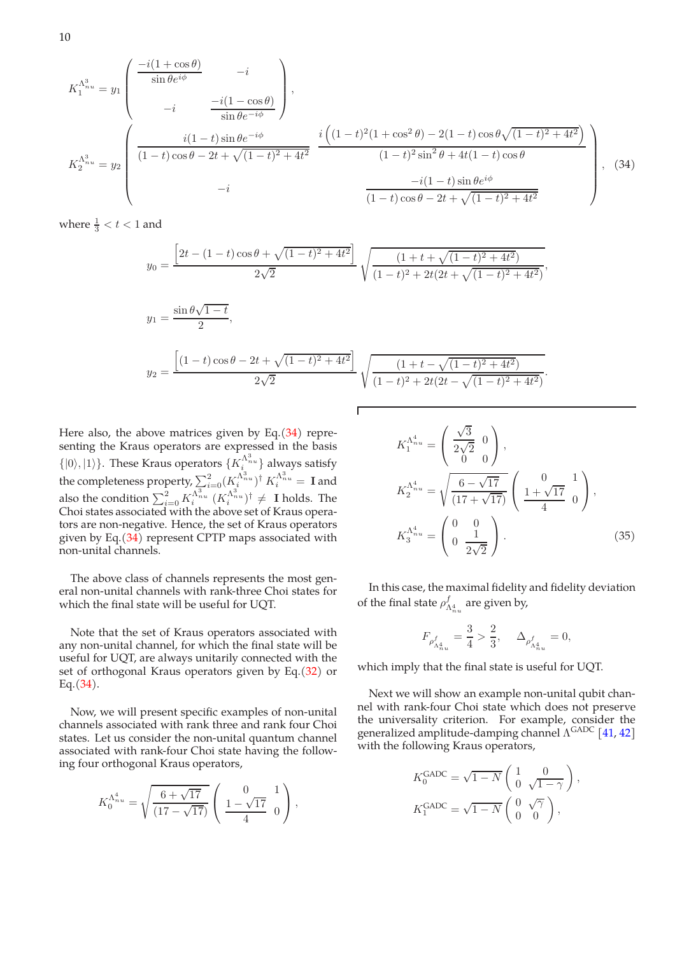$$
K_1^{\Lambda_{nu}^3} = y_1 \begin{pmatrix} \frac{-i(1+\cos\theta)}{\sin\theta e^{i\phi}} & -i \\ & -i & \frac{-i(1-\cos\theta)}{\sin\theta e^{-i\phi}} \end{pmatrix},
$$
  
\n
$$
K_2^{\Lambda_{nu}^3} = y_2 \begin{pmatrix} i(1-t)\sin\theta e^{-i\phi} & i((1-t)^2(1+\cos^2\theta) - 2(1-t)\cos\theta\sqrt{(1-t)^2 + 4t^2}) \\ \frac{-i(1-t)\cos\theta - 2t + \sqrt{(1-t)^2 + 4t^2}}{\sqrt{(1-t)^2 + 4t^2}} & \frac{-i(1-t)^2\sin^2\theta + 4t(1-t)\cos\theta}{(1-t)\cos\theta - 2t + \sqrt{(1-t)^2 + 4t^2}} \end{pmatrix},
$$
(34)

where  $\frac{1}{3} < t < 1$  and

$$
y_0 = \frac{\left[2t - (1-t)\cos\theta + \sqrt{(1-t)^2 + 4t^2}\right]}{2\sqrt{2}} \sqrt{\frac{(1+t + \sqrt{(1-t)^2 + 4t^2})}{(1-t)^2 + 2t(2t + \sqrt{(1-t)^2 + 4t^2})}}
$$

$$
y_1 = \frac{\sin \theta \sqrt{1 - t}}{2},
$$
  

$$
y_2 = \frac{\left[ (1 - t)\cos \theta - 2t + \sqrt{(1 - t)^2 + 4t^2} \right]}{2\sqrt{2}} \sqrt{\frac{(1 + t - \sqrt{(1 - t)^2 + 4t^2})}{(1 - t)^2 + 2t(2t - \sqrt{(1 - t)^2 + 4t^2})}}.
$$

Г

Here also, the above matrices given by Eq. $(34)$  representing the Kraus operators are expressed in the basis  $\{|0\rangle, |1\rangle\}$ . These Kraus operators  $\{K_{i}^{\Lambda_{ni}^{3}u}\}$  always satisfy the completeness property,  $\sum_{i=0}^{2} (K_i^{\Lambda_{nu}^3})^{\dagger} K_i^{\Lambda_{nu}^3} = \mathbf{I}$  and also the condition  $\sum_{i=0}^{2} K_i^{\Lambda_{nu}^{3}} (K_i^{\Lambda_{nu}^{3}})^{\dagger} \neq 1$  holds. The Choi states associated with the above set of Kraus operators are non-negative. Hence, the set of Kraus operators given by Eq. $(34)$  represent CPTP maps associated with non-unital channels.

The above class of channels represents the most general non-unital channels with rank-three Choi states for which the final state will be useful for UQT.

Note that the set of Kraus operators associated with any non-unital channel, for which the final state will be useful for UQT, are always unitarily connected with the set of orthogonal Kraus operators given by Eq.(32) or Eq.(34).

Now, we will present specific examples of non-unital channels associated with rank three and rank four Choi states. Let us consider the non-unital quantum channel associated with rank-four Choi state having the following four orthogonal Kraus operators,

$$
K_0^{\Lambda_{nu}^4} = \sqrt{\frac{6+\sqrt{17}}{(17-\sqrt{17})}} \left( \begin{array}{cc} 0 & 1 \\ \frac{1-\sqrt{17}}{4} & 0 \end{array} \right),
$$

$$
K_1^{\Lambda_{nu}^4} = \begin{pmatrix} \frac{\sqrt{3}}{2\sqrt{2}} & 0\\ 0 & 0 \end{pmatrix},
$$
  
\n
$$
K_2^{\Lambda_{nu}^4} = \sqrt{\frac{6 - \sqrt{17}}{(17 + \sqrt{17})}} \begin{pmatrix} 0 & 1\\ \frac{1 + \sqrt{17}}{4} & 0 \end{pmatrix},
$$
  
\n
$$
K_3^{\Lambda_{nu}^4} = \begin{pmatrix} 0 & 0\\ 0 & \frac{1}{2\sqrt{2}} \end{pmatrix}.
$$
 (35)

,

In this case, the maximal fidelity and fidelity deviation of the final state  $\rho_{\Lambda_{nu}^4}^f$  are given by,

$$
F_{\rho_{\Lambda_{nu}^4}^4}=\frac{3}{4}>\frac{2}{3},~~\Delta_{\rho_{\Lambda_{nu}^4}^4}=0,
$$

which imply that the final state is useful for UQT.

Next we will show an example non-unital qubit channel with rank-four Choi state which does not preserve the universality criterion. For example, consider the generalized amplitude-damping channel  $\Lambda^{\rm GADC}$  [41, 42] with the following Kraus operators,

$$
K_0^{\text{GADC}} = \sqrt{1 - N} \begin{pmatrix} 1 & 0 \\ 0 & \sqrt{1 - \gamma} \end{pmatrix},
$$
  

$$
K_1^{\text{GADC}} = \sqrt{1 - N} \begin{pmatrix} 0 & \sqrt{\gamma} \\ 0 & 0 \end{pmatrix},
$$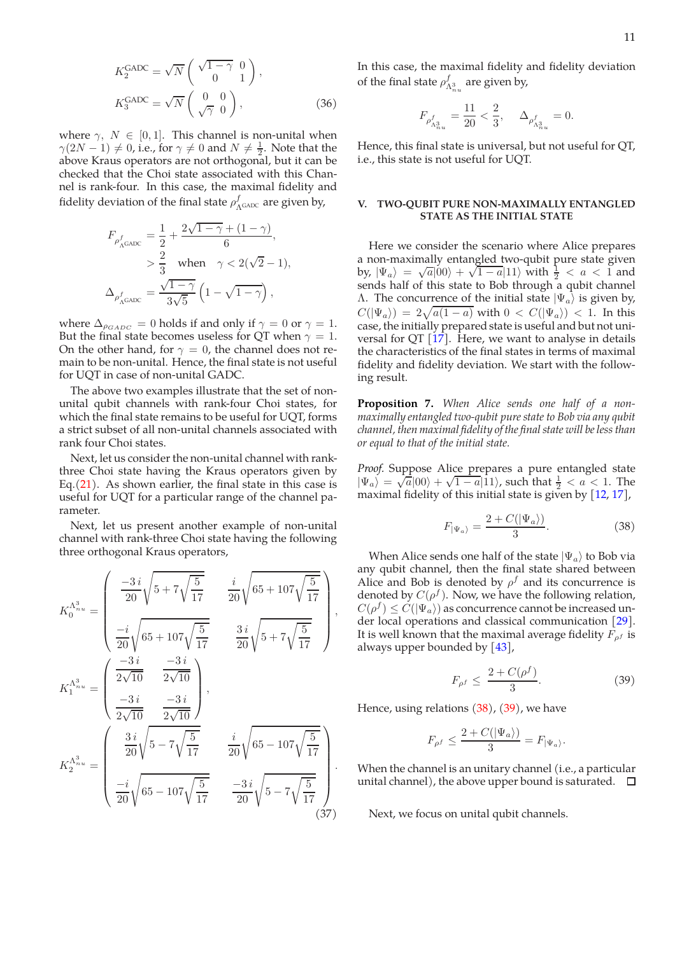$$
K_2^{\text{GADC}} = \sqrt{N} \begin{pmatrix} \sqrt{1-\gamma} & 0 \\ 0 & 1 \end{pmatrix},
$$
  
\n
$$
K_3^{\text{GADC}} = \sqrt{N} \begin{pmatrix} 0 & 0 \\ \sqrt{\gamma} & 0 \end{pmatrix},
$$
\n(36)

where  $\gamma$ ,  $N \in [0, 1]$ . This channel is non-unital when  $\gamma(2N-1) \neq 0$ , i.e., for  $\gamma \neq 0$  and  $N \neq \frac{1}{2}$ . Note that the above Kraus operators are not orthogonal, but it can be checked that the Choi state associated with this Channel is rank-four. In this case, the maximal fidelity and fidelity deviation of the final state  $\rho_{\Lambda^{\rm GADC}}^f$  are given by,

$$
\begin{split} F_{\rho_{\Lambda \text{GADC}}^f}&=\frac{1}{2}+\frac{2\sqrt{1-\gamma}+(1-\gamma)}{6}, \\ &>\frac{2}{3}\quad\text{when}\quad\gamma<2(\sqrt{2}-1), \\ \Delta_{\rho_{\Lambda \text{GADC}}^f}&=\frac{\sqrt{1-\gamma}}{3\sqrt{5}}\left(1-\sqrt{1-\gamma}\right), \end{split}
$$

where  $\Delta_{\rho_{GADC}} = 0$  holds if and only if  $\gamma = 0$  or  $\gamma = 1$ . But the final state becomes useless for QT when  $\gamma = 1$ . On the other hand, for  $\gamma = 0$ , the channel does not remain to be non-unital. Hence, the final state is not useful for UQT in case of non-unital GADC.

The above two examples illustrate that the set of nonunital qubit channels with rank-four Choi states, for which the final state remains to be useful for UQT, forms a strict subset of all non-unital channels associated with rank four Choi states.

Next, let us consider the non-unital channel with rankthree Choi state having the Kraus operators given by Eq.(21). As shown earlier, the final state in this case is useful for UQT for a particular range of the channel parameter.

Next, let us present another example of non-unital channel with rank-three Choi state having the following three orthogonal Kraus operators,

$$
K_0^{\Lambda_{nu}^3} = \begin{pmatrix} \frac{-3i}{20} \sqrt{5 + 7\sqrt{\frac{5}{17}}} & \frac{i}{20} \sqrt{65 + 107\sqrt{\frac{5}{17}}} \\ \frac{-i}{20} \sqrt{65 + 107\sqrt{\frac{5}{17}}} & \frac{3i}{20} \sqrt{5 + 7\sqrt{\frac{5}{17}}} \\ K_1^{\Lambda_{nu}^3} = \begin{pmatrix} \frac{-3i}{2\sqrt{10}} & \frac{-3i}{2\sqrt{10}} \\ \frac{-3i}{2\sqrt{10}} & \frac{-3i}{2\sqrt{10}} \end{pmatrix}, \\ K_2^{\Lambda_{nu}^3} = \begin{pmatrix} \frac{3i}{20} \sqrt{5 - 7\sqrt{\frac{5}{17}}} & \frac{i}{20} \sqrt{65 - 107\sqrt{\frac{5}{17}}} \\ \frac{-i}{20} \sqrt{65 - 107\sqrt{\frac{5}{17}}} & \frac{-3i}{20} \sqrt{5 - 7\sqrt{\frac{5}{17}}} \\ \frac{-i}{20} \sqrt{65 - 107\sqrt{\frac{5}{17}}} & \frac{-3i}{20} \sqrt{5 - 7\sqrt{\frac{5}{17}}} \end{pmatrix}.
$$
\n(37)

In this case, the maximal fidelity and fidelity deviation of the final state  $\rho_{\Lambda_{nu}^3}^f$  are given by,

$$
F_{\rho_{\Lambda_{n_u}^3}^4}=\frac{11}{20}<\frac{2}{3},~~\Delta_{\rho_{\Lambda_{n_u}^3}^4}=0.
$$

Hence, this final state is universal, but not useful for QT, i.e., this state is not useful for UQT.

# **V. TWO-QUBIT PURE NON-MAXIMALLY ENTANGLED STATE AS THE INITIAL STATE**

Here we consider the scenario where Alice prepares a non-maximally entangled two-qubit pure state given by,  $|\Psi_a\rangle = \sqrt{a} |00\rangle + \sqrt{1-a} |11\rangle$  with  $\frac{1}{2} < a < 1$  and sends half of this state to Bob through a qubit channel Λ. The concurrence of the initial state  $|\Psi_a\rangle$  is given by,  $C(|\Psi_a\rangle) = 2\sqrt{a(1-a)}$  with  $0 < C(|\Psi_a\rangle) < 1$ . In this case, the initially prepared state is useful and but not universal for QT  $[17]$ . Here, we want to analyse in details the characteristics of the final states in terms of maximal fidelity and fidelity deviation. We start with the following result.

**Proposition 7.** *When Alice sends one half of a nonmaximally entangled two-qubit pure state to Bob via any qubit channel, then maximal fidelity of the final state will be less than or equal to that of the initial state.*

*Proof.* Suppose Alice prepares a pure entangled state  $|\Psi_a\rangle = \sqrt{a} |00\rangle + \sqrt{1 - a} |11\rangle$ , such that  $\frac{1}{2} < a < 1$ . The maximal fidelity of this initial state is given by  $[12, 17]$ ,

$$
F_{|\Psi_a\rangle} = \frac{2 + C(|\Psi_a\rangle)}{3}.
$$
 (38)

When Alice sends one half of the state  $|\Psi_a\rangle$  to Bob via any qubit channel, then the final state shared between Alice and Bob is denoted by  $\rho^f$  and its concurrence is denoted by  $C(\rho^f)$ . Now, we have the following relation,  $C(\rho^f) \leq C(|\Psi_a\rangle)$  as concurrence cannot be increased under local operations and classical communication [29]. It is well known that the maximal average fidelity  $F_{\rho f}$  is always upper bounded by [43],

$$
F_{\rho^f} \le \frac{2 + C(\rho^f)}{3}.\tag{39}
$$

Hence, using relations (38), (39), we have

,

.

$$
F_{\rho^f} \le \frac{2 + C(|\Psi_a\rangle)}{3} = F_{|\Psi_a\rangle}.
$$

When the channel is an unitary channel (i.e., a particular unital channel), the above upper bound is saturated.  $\Box$ 

Next, we focus on unital qubit channels.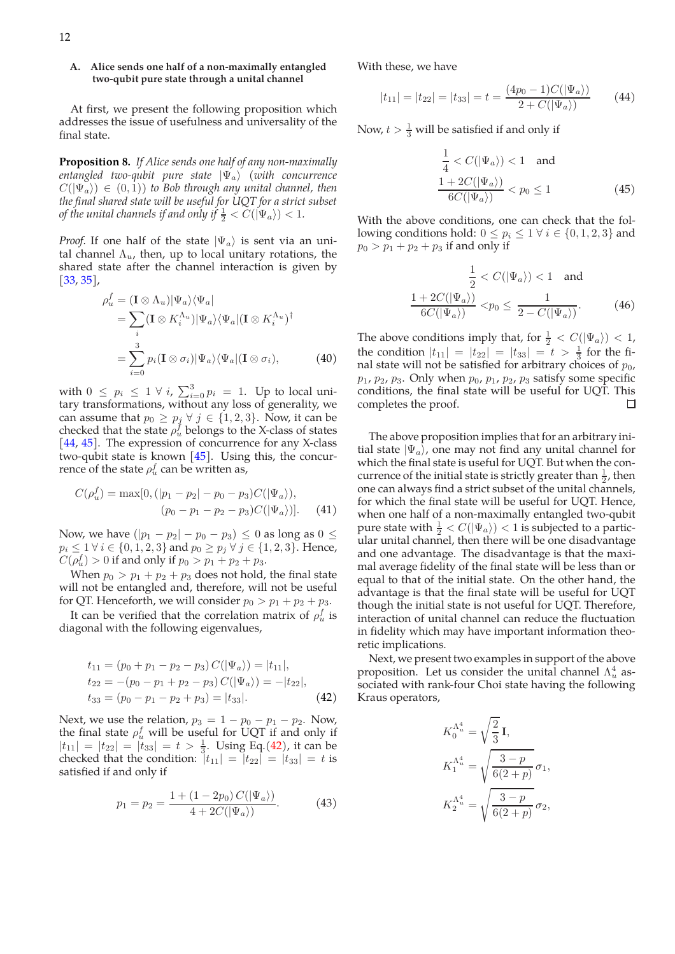# **A. Alice sends one half of a non-maximally entangled two-qubit pure state through a unital channel**

At first, we present the following proposition which addresses the issue of usefulness and universality of the final state.

**Proposition 8.** *If Alice sends one half of any non-maximally entangled two-qubit pure state*  $|\Psi_a\rangle$  *(with concurrence*  $C(|\Psi_a\rangle) \in (0,1)$  to Bob through any unital channel, then *the final shared state will be useful for UQT for a strict subset of the unital channels if and only if*  $\frac{1}{2} < C(|\Psi_a\rangle) < 1$ *.* 

*Proof.* If one half of the state  $|\Psi_a\rangle$  is sent via an unital channel  $\Lambda_u$ , then, up to local unitary rotations, the shared state after the channel interaction is given by [33, 35],

$$
\rho_u^f = (\mathbf{I} \otimes \Lambda_u) |\Psi_a\rangle \langle \Psi_a|
$$
  
= 
$$
\sum_i (\mathbf{I} \otimes K_i^{\Lambda_u}) |\Psi_a\rangle \langle \Psi_a | (\mathbf{I} \otimes K_i^{\Lambda_u})^\dagger
$$
  
= 
$$
\sum_{i=0}^3 p_i (\mathbf{I} \otimes \sigma_i) |\Psi_a\rangle \langle \Psi_a | (\mathbf{I} \otimes \sigma_i),
$$
 (40)

with  $0 \leq p_i \leq 1 \ \forall \ i$ ,  $\sum_{i=0}^{3} p_i = 1$ . Up to local unitary transformations, without any loss of generality, we can assume that  $p_0 \geq p_j \ \forall \ j \in \{1, 2, 3\}$ . Now, it can be checked that the state  $\rho_u^f$  belongs to the X-class of states [44, 45]. The expression of concurrence for any X-class two-qubit state is known [45]. Using this, the concurrence of the state  $\rho_u^f$  can be written as,

$$
C(\rho_u^f) = \max[0, (|p_1 - p_2| - p_0 - p_3)C(|\Psi_a\rangle),
$$
  
\n
$$
(p_0 - p_1 - p_2 - p_3)C(|\Psi_a\rangle)].
$$
 (41)

Now, we have  $(|p_1 - p_2| - p_0 - p_3) \le 0$  as long as  $0 \le$  $p_i \leq 1 \ \forall \ i \in \{0, 1, 2, 3\}$  and  $p_0 \geq p_j \ \forall \ j \in \{1, 2, 3\}$ . Hence,  $C(\rho_u^f) > 0$  if and only if  $p_0 > p_1 + p_2 + p_3$ .

When  $p_0 > p_1 + p_2 + p_3$  does not hold, the final state will not be entangled and, therefore, will not be useful for QT. Henceforth, we will consider  $p_0 > p_1 + p_2 + p_3$ .

It can be verified that the correlation matrix of  $\rho^f_u$  is diagonal with the following eigenvalues,

$$
t_{11} = (p_0 + p_1 - p_2 - p_3) C(|\Psi_a\rangle) = |t_{11}|,
$$
  
\n
$$
t_{22} = -(p_0 - p_1 + p_2 - p_3) C(|\Psi_a\rangle) = -|t_{22}|,
$$
  
\n
$$
t_{33} = (p_0 - p_1 - p_2 + p_3) = |t_{33}|.
$$
\n(42)

Next, we use the relation,  $p_3 = 1 - p_0 - p_1 - p_2$ . Now, the final state  $\rho_u^f$  will be useful for UQT if and only if  $|t_{11}| = |t_{22}| = |t_{33}| = t > \frac{1}{3}$ . Using Eq.(42), it can be checked that the condition:  $|t_{11}| = |t_{22}| = |t_{33}| = t$  is satisfied if and only if

$$
p_1 = p_2 = \frac{1 + (1 - 2p_0) C(|\Psi_a\rangle)}{4 + 2C(|\Psi_a\rangle)}.
$$
 (43)

With these, we have

$$
|t_{11}| = |t_{22}| = |t_{33}| = t = \frac{(4p_0 - 1)C(|\Psi_a\rangle)}{2 + C(|\Psi_a\rangle)} \tag{44}
$$

Now,  $t > \frac{1}{3}$  will be satisfied if and only if

$$
\frac{1}{4} < C(|\Psi_a\rangle) < 1 \quad \text{and}
$$
\n
$$
\frac{1 + 2C(|\Psi_a\rangle)}{6C(|\Psi_a\rangle)} < p_0 \le 1 \tag{45}
$$

With the above conditions, one can check that the following conditions hold:  $0 \leq p_i \leq 1 \ \forall \ i \in \{0, 1, 2, 3\}$  and  $p_0 > p_1 + p_2 + p_3$  if and only if

$$
\frac{1}{2} < C(|\Psi_a\rangle) < 1 \quad \text{and}
$$
\n
$$
\frac{1 + 2C(|\Psi_a\rangle)}{6C(|\Psi_a\rangle)} < p_0 \le \frac{1}{2 - C(|\Psi_a\rangle)}.\tag{46}
$$

The above conditions imply that, for  $\frac{1}{2} < C(|\Psi_a\rangle) < 1$ , the condition  $|t_{11}| = |t_{22}| = |t_{33}| = t > \frac{1}{3}$  for the final state will not be satisfied for arbitrary choices of  $p_0$ ,  $p_1$ ,  $p_2$ ,  $p_3$ . Only when  $p_0$ ,  $p_1$ ,  $p_2$ ,  $p_3$  satisfy some specific conditions, the final state will be useful for UQT. This completes the proof.  $\Box$ 

The above proposition implies that for an arbitrary initial state  $|\Psi_a\rangle$ , one may not find any unital channel for which the final state is useful for UQT. But when the concurrence of the initial state is strictly greater than  $\frac{1}{2}$ , then one can always find a strict subset of the unital channels, for which the final state will be useful for UQT. Hence, when one half of a non-maximally entangled two-qubit pure state with  $\frac{1}{2} < C(|\Psi_a\rangle) < 1$  is subjected to a particular unital channel, then there will be one disadvantage and one advantage. The disadvantage is that the maximal average fidelity of the final state will be less than or equal to that of the initial state. On the other hand, the advantage is that the final state will be useful for UQT though the initial state is not useful for UQT. Therefore, interaction of unital channel can reduce the fluctuation in fidelity which may have important information theoretic implications.

Next, we present two examples in support of the above proposition. Let us consider the unital channel  $\Lambda_u^4$  associated with rank-four Choi state having the following Kraus operators,

$$
K_0^{\Lambda_u^4} = \sqrt{\frac{2}{3}} \mathbf{I},
$$
  
\n
$$
K_1^{\Lambda_u^4} = \sqrt{\frac{3-p}{6(2+p)}} \sigma_1,
$$
  
\n
$$
K_2^{\Lambda_u^4} = \sqrt{\frac{3-p}{6(2+p)}} \sigma_2,
$$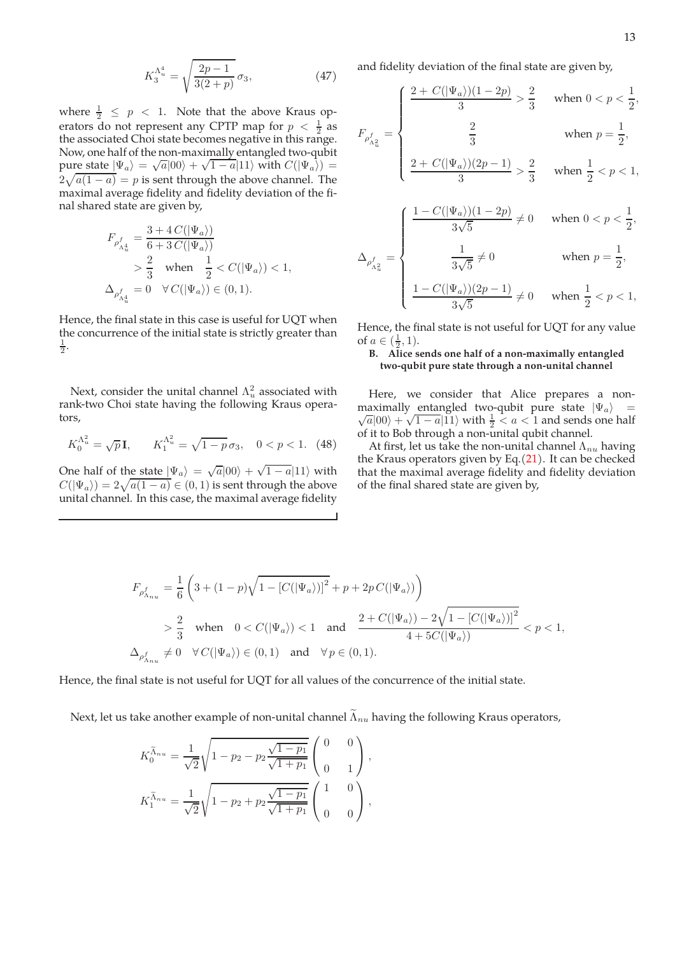$$
K_3^{\Lambda_u^4} = \sqrt{\frac{2p-1}{3(2+p)}} \,\sigma_3,\tag{47}
$$

where  $\frac{1}{2} \leq p < 1$ . Note that the above Kraus operators do not represent any CPTP map for  $p < \frac{1}{2}$  as the associated Choi state becomes negative in this range. Now, one half of the non-maximally entangled two-qubit pure state  $|\Psi_a\rangle = \sqrt{a} |00\rangle + \sqrt{1 - a} |11\rangle$  with  $C(|\Psi_a\rangle) =$  $2\sqrt{a(1-a)} = p$  is sent through the above channel. The maximal average fidelity and fidelity deviation of the final shared state are given by,

$$
\begin{aligned} F_{\rho^f_{\Lambda^4_u}} &= \frac{3+4\,C(|\Psi_a\rangle)}{6+3\,C(|\Psi_a\rangle)} \\&> \frac{2}{3} \quad \text{when} \quad \frac{1}{2} < C(|\Psi_a\rangle) < 1, \\ \Delta_{\rho^f_{\Lambda^4_u}} &= 0 \quad \forall\, C(|\Psi_a\rangle) \in (0,1). \end{aligned}
$$

Hence, the final state in this case is useful for UQT when the concurrence of the initial state is strictly greater than  $\frac{1}{2}$ .

Next, consider the unital channel  $\Lambda_u^2$  associated with rank-two Choi state having the following Kraus operators,

$$
K_0^{\Lambda_u^2} = \sqrt{p} \mathbf{I}, \qquad K_1^{\Lambda_u^2} = \sqrt{1 - p} \sigma_3, \quad 0 < p < 1. \tag{48}
$$

One half of the state  $|\Psi_a\rangle = \sqrt{a}|00\rangle + \sqrt{1-a}|11\rangle$  with  $C(|\Psi_a\rangle)=2\sqrt{a(1-a)}\in(0,1)$  is sent through the above unital channel. In this case, the maximal average fidelity and fidelity deviation of the final state are given by,

$$
F_{\rho_{\Lambda_u^2}^f} = \begin{cases} \dfrac{2+C(|\Psi_a\rangle)(1-2p)}{3} > \dfrac{2}{3} & \text{ when } 0 < p < \dfrac{1}{2}, \\ \\ \dfrac{2}{3} & \text{ when } p = \dfrac{1}{2}, \\ \\ \dfrac{2+C(|\Psi_a\rangle)(2p-1)}{3} > \dfrac{2}{3} & \text{ when } \dfrac{1}{2} < p < 1, \\ \\ \dfrac{1-C(|\Psi_a\rangle)(1-2p)}{3\sqrt{5}} \neq 0 & \text{ when } 0 < p < \dfrac{1}{2}, \\ \\ \Delta_{\rho_{\Lambda_u^2}^f} = \begin{cases} \dfrac{1-C(|\Psi_a\rangle)(1-2p)}{3\sqrt{5}} \neq 0 & \text{ when } p = \dfrac{1}{2}, \\ \\ \dfrac{1}{3\sqrt{5}} \neq 0 & \text{ when } p = \dfrac{1}{2}, \end{cases}
$$

$$
\frac{1-C(\vert\Psi_a\rangle)(2p-1)}{3\sqrt{5}}\neq 0 \quad \text{when } \frac{1}{2} < p < 1,
$$

Hence, the final state is not useful for UQT for any value of  $a \in (\frac{1}{2}, 1)$ .

# **B. Alice sends one half of a non-maximally entangled two-qubit pure state through a non-unital channel**

Here, we consider that Alice prepares a nonmaximally entangled two-qubit pure state  $|\Psi_a\rangle$  =  $\frac{a}{a}|00\rangle + \sqrt{1-a}|11\rangle$  with  $\frac{1}{2} < a < 1$  and sends one half of it to Bob through a non-unital qubit channel.

At first, let us take the non-unital channel  $\Lambda_{nu}$  having the Kraus operators given by Eq. $(21)$ . It can be checked that the maximal average fidelity and fidelity deviation of the final shared state are given by,

$$
\begin{aligned} F_{\rho^f_{\Lambda_{nu}}} &= \frac{1}{6}\left(3+(1-p)\sqrt{1-\left[C(\left|\Psi_a\right\rangle)\right]^2}+p+2p\,C(\left|\Psi_a\right\rangle)\right) \\ &> \frac{2}{3} \quad \text{when} \quad 0
$$

Hence, the final state is not useful for UQT for all values of the concurrence of the initial state.

Next, let us take another example of non-unital channel  $\widetilde{\Lambda}_{nu}$  having the following Kraus operators,

$$
K_0^{\tilde{\Lambda}_{nu}} = \frac{1}{\sqrt{2}} \sqrt{1 - p_2 - p_2 \frac{\sqrt{1 - p_1}}{\sqrt{1 + p_1}}} \begin{pmatrix} 0 & 0 \\ 0 & 1 \end{pmatrix},
$$
  

$$
K_1^{\tilde{\Lambda}_{nu}} = \frac{1}{\sqrt{2}} \sqrt{1 - p_2 + p_2 \frac{\sqrt{1 - p_1}}{\sqrt{1 + p_1}}} \begin{pmatrix} 1 & 0 \\ 0 & 0 \end{pmatrix},
$$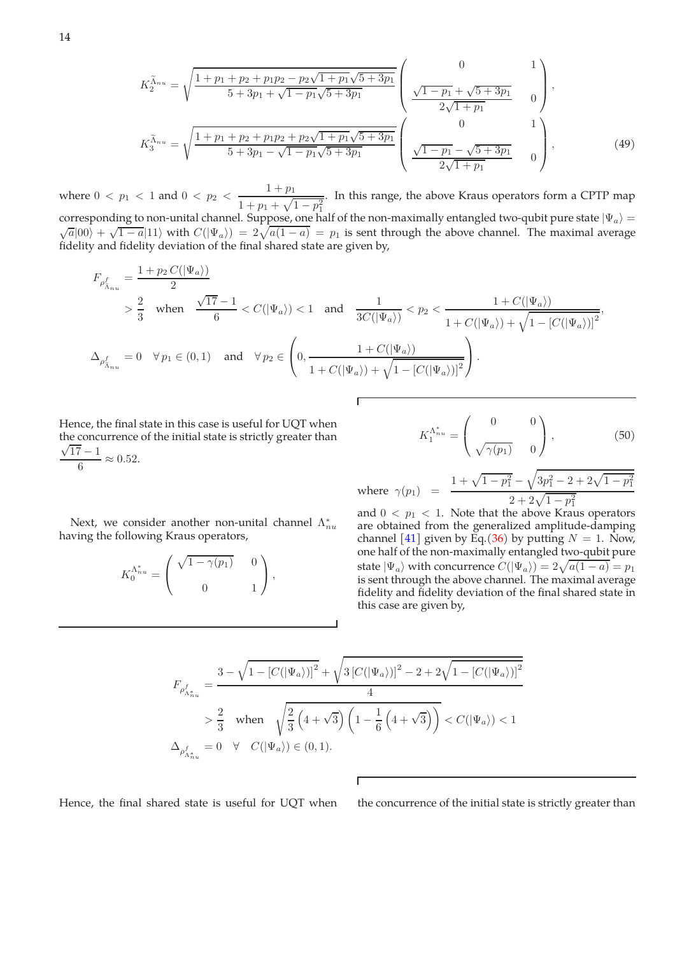14

$$
K_2^{\tilde{\Lambda}_{nu}} = \sqrt{\frac{1 + p_1 + p_2 + p_1 p_2 - p_2 \sqrt{1 + p_1} \sqrt{5 + 3p_1}}{5 + 3p_1 + \sqrt{1 - p_1} \sqrt{5 + 3p_1}}} \begin{pmatrix} 0 & 1 \ \sqrt{1 - p_1} + \sqrt{5 + 3p_1} & 0 \ \frac{\sqrt{1 - p_1} + \sqrt{5 + 3p_1}}{2\sqrt{1 + p_1}} & 0 \end{pmatrix},
$$
  
\n
$$
K_3^{\tilde{\Lambda}_{nu}} = \sqrt{\frac{1 + p_1 + p_2 + p_1 p_2 + p_2 \sqrt{1 + p_1} \sqrt{5 + 3p_1}}{5 + 3p_1 - \sqrt{1 - p_1} \sqrt{5 + 3p_1}}} \begin{pmatrix} 0 & 1 \ \frac{\sqrt{1 - p_1} - \sqrt{5 + 3p_1}}{2\sqrt{1 + p_1}} & 0 \end{pmatrix},
$$
\n(49)

where  $0 < p_1 < 1$  and  $0 < p_2 < \frac{1+p_1}{1+p_2}$  $1 + p_1 + \sqrt{1 - p_1^2}$ . In this range, the above Kraus operators form a CPTP map corresponding to non-unital channel. Suppose, one half of the non-maximally entangled two-qubit pure state  $|\Psi_a\rangle =$  $\overline{a}|00\rangle + \sqrt{1-a}|11\rangle$  with  $C(|\Psi_a\rangle) = 2\sqrt{a(1-a)} = p_1$  is sent through the above channel. The maximal average fidelity and fidelity deviation of the final shared state are given by,

$$
\label{eq:1} \begin{split} F_{\rho_{\tilde{\Lambda}_{nu}}^f}&=\frac{1+p_2\,C(|\Psi_a\rangle)}{2}\\ &>\frac{2}{3}\quad\text{when}\quad\frac{\sqrt{17}-1}{6}< C(|\Psi_a\rangle)<1\quad\text{and}\quad\frac{1}{3C(|\Psi_a\rangle)}
$$

Hence, the final state in this case is useful for UQT when the concurrence of the initial state is strictly greater than  $\sqrt{17} - 1$  $\frac{1}{6} \approx 0.52.$ 

Next, we consider another non-unital channel  $\Lambda_{nu}^*$ having the following Kraus operators,

$$
K_0^{\Lambda_{nu}^*} = \begin{pmatrix} \sqrt{1-\gamma(p_1)} & 0 \\ 0 & 1 \end{pmatrix},
$$

$$
K_1^{\Lambda_{nu}^*} = \begin{pmatrix} 0 & 0 \\ \sqrt{\gamma(p_1)} & 0 \end{pmatrix}, \tag{50}
$$

where  $\gamma(p_1)$  =  $1 + \sqrt{1 - p_1^2}$  –  $\sqrt{3p_1^2 - 2 + 2\sqrt{1-p_1^2}}$  $2 + 2\sqrt{1-p_1^2}$ 

and  $0 < p_1 < 1$ . Note that the above Kraus operators are obtained from the generalized amplitude-damping channel [41] given by Eq.(36) by putting  $N = 1$ . Now, one half of the non-maximally entangled two-qubit pure state  $|\Psi_a\rangle$  with concurrence  $C(|\Psi_a\rangle) = 2\sqrt{a(1-a)} = p_1$ is sent through the above channel. The maximal average fidelity and fidelity deviation of the final shared state in this case are given by,

$$
\begin{split} F_{\rho_{\Lambda_{nu}^*}^f} &= \frac{3-\sqrt{1-\left[C(\left|\Psi_a\right\rangle)\right]^2}+\sqrt{3\left[C(\left|\Psi_a\right\rangle)\right]^2-2+2\sqrt{1-\left[C(\left|\Psi_a\right\rangle)\right]^2}}{4}\\&> \frac{2}{3}\quad \text{when}\quad \sqrt{\frac{2}{3}\left(4+\sqrt{3}\right)\left(1-\frac{1}{6}\left(4+\sqrt{3}\right)\right)}< C(\left|\Psi_a\right\rangle)<1\\ \Delta_{\rho_{\Lambda_{nu}^*}^f} &= 0 \quad \forall\quad C(\left|\Psi_a\right\rangle)\in (0,1). \end{split}
$$

Г

Hence, the final shared state is useful for UQT when the concurrence of the initial state is strictly greater than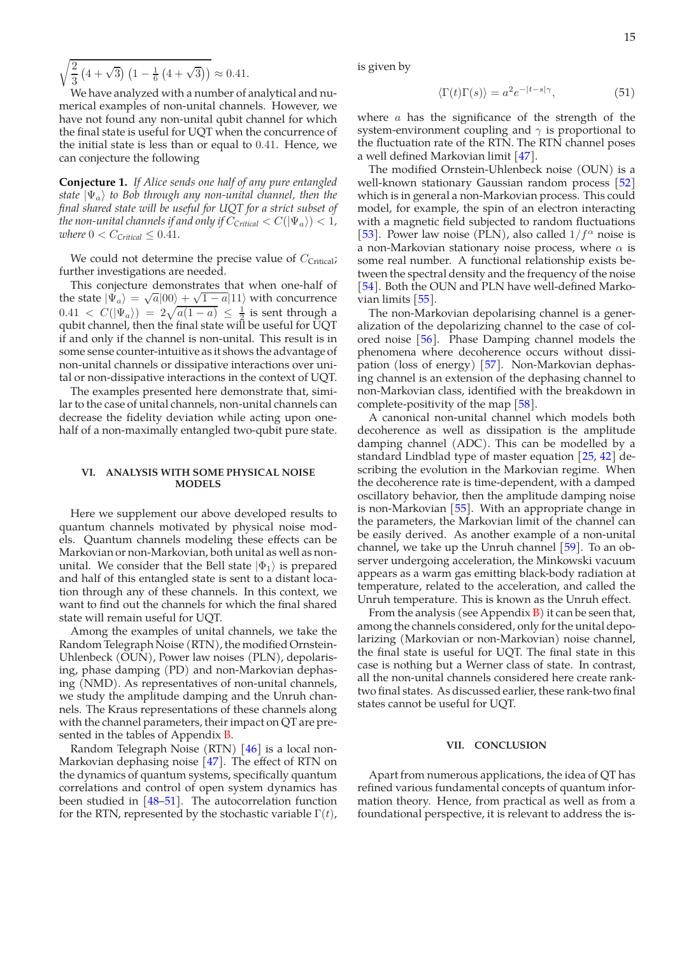$\sqrt{2}$ 3  $(4+\sqrt{3}) (1-\frac{1}{6}(4+\sqrt{3})) \approx 0.41.$ 

We have analyzed with a number of analytical and numerical examples of non-unital channels. However, we have not found any non-unital qubit channel for which the final state is useful for UQT when the concurrence of the initial state is less than or equal to 0.41. Hence, we can conjecture the following

**Conjecture 1.** *If Alice sends one half of any pure entangled state*  $|\Psi_a\rangle$  *to Bob through any non-unital channel, then the final shared state will be useful for UQT for a strict subset of the non-unital channels if and only if*  $C_{\text{Critical}} < C(|\Psi_a\rangle) < 1$ *, where*  $0 < C_{\text{Critical}} \leq 0.41$ *.* 

We could not determine the precise value of  $C_{\text{Critical}}$ ; further investigations are needed.

This conjecture demonstrates that when one-half of the state  $|\Psi_a\rangle = \sqrt{a} |00\rangle + \sqrt{1 - a} |11\rangle$  with concurrence  $0.41 < C(|\Psi_a\rangle) = 2\sqrt{a(1-a)} \leq \frac{1}{2}$  is sent through a qubit channel, then the final state will be useful for UQT if and only if the channel is non-unital. This result is in some sense counter-intuitive as it shows the advantage of non-unital channels or dissipative interactions over unital or non-dissipative interactions in the context of UQT.

The examples presented here demonstrate that, similar to the case of unital channels, non-unital channels can decrease the fidelity deviation while acting upon onehalf of a non-maximally entangled two-qubit pure state.

# **VI. ANALYSIS WITH SOME PHYSICAL NOISE MODELS**

Here we supplement our above developed results to quantum channels motivated by physical noise models. Quantum channels modeling these effects can be Markovian or non-Markovian, both unital as well as nonunital. We consider that the Bell state  $|\Phi_1\rangle$  is prepared and half of this entangled state is sent to a distant location through any of these channels. In this context, we want to find out the channels for which the final shared state will remain useful for UQT.

Among the examples of unital channels, we take the Random Telegraph Noise (RTN), the modified Ornstein-Uhlenbeck (OUN), Power law noises (PLN), depolarising, phase damping (PD) and non-Markovian dephasing (NMD). As representatives of non-unital channels, we study the amplitude damping and the Unruh channels. The Kraus representations of these channels along with the channel parameters, their impact on QT are presented in the tables of Appendix **B**.

Random Telegraph Noise (RTN) [46] is a local non-Markovian dephasing noise [47]. The effect of RTN on the dynamics of quantum systems, specifically quantum correlations and control of open system dynamics has been studied in [48–51]. The autocorrelation function for the RTN, represented by the stochastic variable  $\Gamma(t)$ ,

is given by

$$
\langle \Gamma(t)\Gamma(s) \rangle = a^2 e^{-|t-s|\gamma},\tag{51}
$$

where  $a$  has the significance of the strength of the system-environment coupling and  $\gamma$  is proportional to the fluctuation rate of the RTN. The RTN channel poses a well defined Markovian limit [47].

The modified Ornstein-Uhlenbeck noise (OUN) is a well-known stationary Gaussian random process [52] which is in general a non-Markovian process. This could model, for example, the spin of an electron interacting with a magnetic field subjected to random fluctuations [53]. Power law noise (PLN), also called  $1/f^{\alpha}$  noise is a non-Markovian stationary noise process, where  $\alpha$  is some real number. A functional relationship exists between the spectral density and the frequency of the noise [54]. Both the OUN and PLN have well-defined Markovian limits [55].

The non-Markovian depolarising channel is a generalization of the depolarizing channel to the case of colored noise [56]. Phase Damping channel models the phenomena where decoherence occurs without dissipation (loss of energy) [57]. Non-Markovian dephasing channel is an extension of the dephasing channel to non-Markovian class, identified with the breakdown in complete-positivity of the map [58].

A canonical non-unital channel which models both decoherence as well as dissipation is the amplitude damping channel (ADC). This can be modelled by a standard Lindblad type of master equation [25, 42] describing the evolution in the Markovian regime. When the decoherence rate is time-dependent, with a damped oscillatory behavior, then the amplitude damping noise is non-Markovian [55]. With an appropriate change in the parameters, the Markovian limit of the channel can be easily derived. As another example of a non-unital channel, we take up the Unruh channel  $[59]$ . To an observer undergoing acceleration, the Minkowski vacuum appears as a warm gas emitting black-body radiation at temperature, related to the acceleration, and called the Unruh temperature. This is known as the Unruh effect.

From the analysis (see Appendix  $B$ ) it can be seen that, among the channels considered, only for the unital depolarizing (Markovian or non-Markovian) noise channel, the final state is useful for UQT. The final state in this case is nothing but a Werner class of state. In contrast, all the non-unital channels considered here create ranktwo final states. As discussed earlier, these rank-two final states cannot be useful for UQT.

### **VII. CONCLUSION**

Apart from numerous applications, the idea of QT has refined various fundamental concepts of quantum information theory. Hence, from practical as well as from a foundational perspective, it is relevant to address the is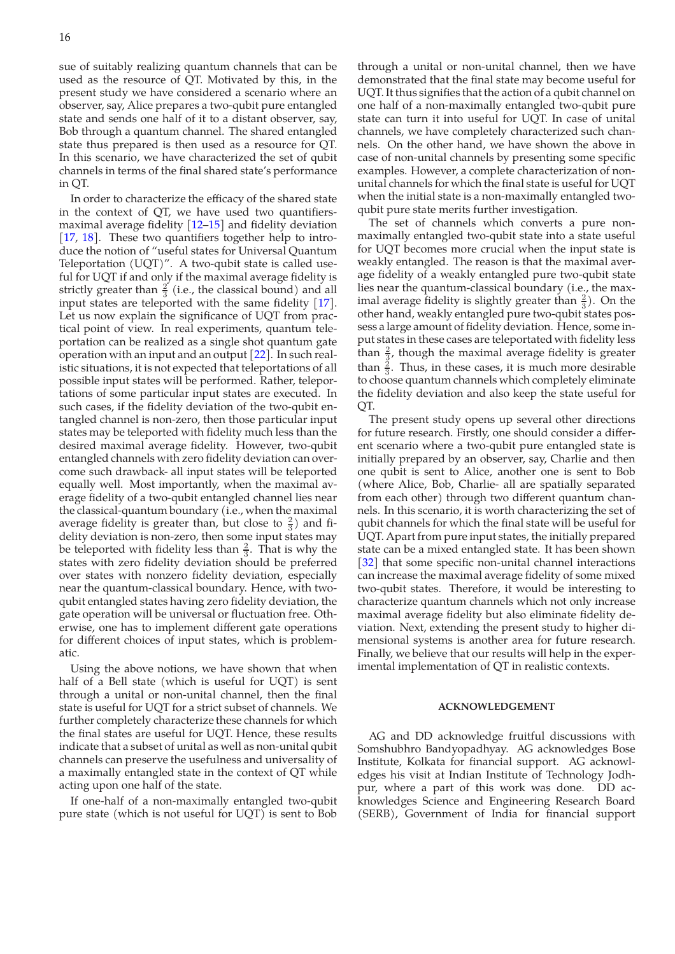sue of suitably realizing quantum channels that can be used as the resource of QT. Motivated by this, in the present study we have considered a scenario where an observer, say, Alice prepares a two-qubit pure entangled state and sends one half of it to a distant observer, say, Bob through a quantum channel. The shared entangled state thus prepared is then used as a resource for QT. In this scenario, we have characterized the set of qubit channels in terms of the final shared state's performance in QT.

In order to characterize the efficacy of the shared state in the context of QT, we have used two quantifiersmaximal average fidelity [12–15] and fidelity deviation [17, 18]. These two quantifiers together help to introduce the notion of "useful states for Universal Quantum Teleportation (UQT)". A two-qubit state is called useful for UQT if and only if the maximal average fidelity is strictly greater than  $\frac{2}{3}$  (i.e., the classical bound) and all input states are teleported with the same fidelity [17]. Let us now explain the significance of UQT from practical point of view. In real experiments, quantum teleportation can be realized as a single shot quantum gate operation with an input and an output [22]. In such realistic situations, it is not expected that teleportations of all possible input states will be performed. Rather, teleportations of some particular input states are executed. In such cases, if the fidelity deviation of the two-qubit entangled channel is non-zero, then those particular input states may be teleported with fidelity much less than the desired maximal average fidelity. However, two-qubit entangled channels with zero fidelity deviation can overcome such drawback- all input states will be teleported equally well. Most importantly, when the maximal average fidelity of a two-qubit entangled channel lies near the classical-quantum boundary (i.e., when the maximal average fidelity is greater than, but close to  $\frac{2}{3}$ ) and fidelity deviation is non-zero, then some input states may be teleported with fidelity less than  $\frac{2}{3}$ . That is why the states with zero fidelity deviation should be preferred over states with nonzero fidelity deviation, especially near the quantum-classical boundary. Hence, with twoqubit entangled states having zero fidelity deviation, the gate operation will be universal or fluctuation free. Otherwise, one has to implement different gate operations for different choices of input states, which is problematic.

Using the above notions, we have shown that when half of a Bell state (which is useful for UQT) is sent through a unital or non-unital channel, then the final state is useful for UQT for a strict subset of channels. We further completely characterize these channels for which the final states are useful for UQT. Hence, these results indicate that a subset of unital as well as non-unital qubit channels can preserve the usefulness and universality of a maximally entangled state in the context of QT while acting upon one half of the state.

If one-half of a non-maximally entangled two-qubit pure state (which is not useful for UQT) is sent to Bob

through a unital or non-unital channel, then we have demonstrated that the final state may become useful for UQT. It thus signifies that the action of a qubit channel on one half of a non-maximally entangled two-qubit pure state can turn it into useful for UQT. In case of unital channels, we have completely characterized such channels. On the other hand, we have shown the above in case of non-unital channels by presenting some specific examples. However, a complete characterization of nonunital channels for which the final state is useful for UQT when the initial state is a non-maximally entangled twoqubit pure state merits further investigation.

The set of channels which converts a pure nonmaximally entangled two-qubit state into a state useful for UQT becomes more crucial when the input state is weakly entangled. The reason is that the maximal average fidelity of a weakly entangled pure two-qubit state lies near the quantum-classical boundary (i.e., the maximal average fidelity is slightly greater than  $\frac{2}{3}$ ). On the other hand, weakly entangled pure two-qubit states possess a large amount of fidelity deviation. Hence, some input states in these cases are teleportated with fidelity less than  $\frac{2}{3}$ , though the maximal average fidelity is greater than  $\frac{3}{3}$ . Thus, in these cases, it is much more desirable to choose quantum channels which completely eliminate the fidelity deviation and also keep the state useful for  $\overline{OT}$ .

The present study opens up several other directions for future research. Firstly, one should consider a different scenario where a two-qubit pure entangled state is initially prepared by an observer, say, Charlie and then one qubit is sent to Alice, another one is sent to Bob (where Alice, Bob, Charlie- all are spatially separated from each other) through two different quantum channels. In this scenario, it is worth characterizing the set of qubit channels for which the final state will be useful for UQT. Apart from pure input states, the initially prepared state can be a mixed entangled state. It has been shown [32] that some specific non-unital channel interactions can increase the maximal average fidelity of some mixed two-qubit states. Therefore, it would be interesting to characterize quantum channels which not only increase maximal average fidelity but also eliminate fidelity deviation. Next, extending the present study to higher dimensional systems is another area for future research. Finally, we believe that our results will help in the experimental implementation of QT in realistic contexts.

# **ACKNOWLEDGEMENT**

AG and DD acknowledge fruitful discussions with Somshubhro Bandyopadhyay. AG acknowledges Bose Institute, Kolkata for financial support. AG acknowledges his visit at Indian Institute of Technology Jodhpur, where a part of this work was done. DD acknowledges Science and Engineering Research Board (SERB), Government of India for financial support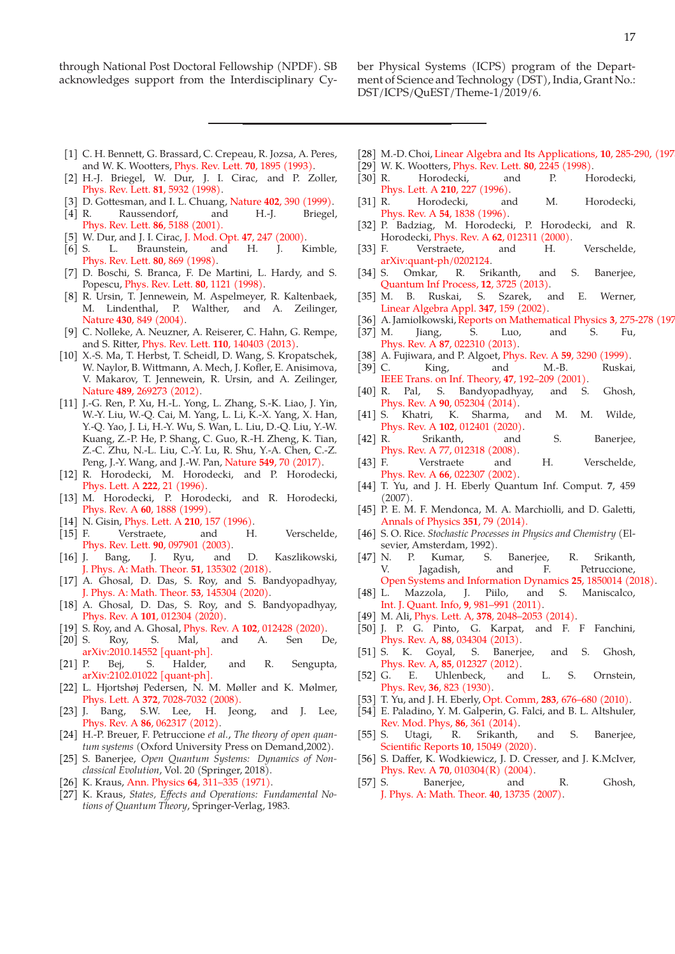through National Post Doctoral Fellowship (NPDF). SB acknowledges support from the Interdisciplinary Cyber Physical Systems (ICPS) program of the Department of Science and Technology (DST), India, Grant No.: DST/ICPS/QuEST/Theme-1/2019/6.

- [1] C. H. Bennett, G. Brassard, C. Crepeau, R. Jozsa, A. Peres, and W. K. Wootters, Phys. Rev. Lett. **70**, 1895 (1993).
- [2] H.-J. Briegel, W. Dur, J. I. Cirac, and P. Zoller, Phys. Rev. Lett. **81**, 5932 (1998).
- [3] D. Gottesman, and I. L. Chuang, Nature **402**, 390 (1999).
- [4] R. Raussendorf, and H.-J. Briegel, Phys. Rev. Lett. **86**, 5188 (2001).
- [5] W. Dur, and J. I. Cirac, J. Mod. Opt. **47**, 247 (2000).
- [6] S. L. Braunstein, and H. J. Kimble, Phys. Rev. Lett. **80**, 869 (1998).
- [7] D. Boschi, S. Branca, F. De Martini, L. Hardy, and S. Popescu, Phys. Rev. Lett. **80**, 1121 (1998).
- [8] R. Ursin, T. Jennewein, M. Aspelmeyer, R. Kaltenbaek, M. Lindenthal, P. Walther, and A. Zeilinger, Nature **430**, 849 (2004).
- [9] C. Nolleke, A. Neuzner, A. Reiserer, C. Hahn, G. Rempe, and S. Ritter, Phys. Rev. Lett. **110**, 140403 (2013).
- [10] X.-S. Ma, T. Herbst, T. Scheidl, D. Wang, S. Kropatschek, W. Naylor, B. Wittmann, A. Mech, J. Kofler, E. Anisimova, V. Makarov, T. Jennewein, R. Ursin, and A. Zeilinger, Nature **489**, 269273 (2012).
- [11] J.-G. Ren, P. Xu, H.-L. Yong, L. Zhang, S.-K. Liao, J. Yin, W.-Y. Liu, W.-Q. Cai, M. Yang, L. Li, K.-X. Yang, X. Han, Y.-Q. Yao, J. Li, H.-Y. Wu, S. Wan, L. Liu, D.-Q. Liu, Y.-W. Kuang, Z.-P. He, P. Shang, C. Guo, R.-H. Zheng, K. Tian, Z.-C. Zhu, N.-L. Liu, C.-Y. Lu, R. Shu, Y.-A. Chen, C.-Z. Peng, J.-Y. Wang, and J.-W. Pan, Nature **549**, 70 (2017).
- [12] R. Horodecki, M. Horodecki, and P. Horodecki, Phys. Lett. A **222**, 21 (1996).
- [13] M. Horodecki, P. Horodecki, and R. Horodecki, Phys. Rev. A **60**, 1888 (1999).
- [14] N. Gisin, Phys. Lett. A **210**, 157 (1996).
- [15] F. Verstraete, and H. Verschelde, Phys. Rev. Lett. **90**, 097901 (2003).
- [16] J. Bang, J. Ryu, and D. Kaszlikowski, J. Phys. A: Math. Theor. **51**, 135302 (2018).
- [17] A. Ghosal, D. Das, S. Roy, and S. Bandyopadhyay, J. Phys. A: Math. Theor. **53**, 145304 (2020).
- [18] A. Ghosal, D. Das, S. Roy, and S. Bandyopadhyay, Phys. Rev. A **101**, 012304 (2020).
- [19] S. Roy, and A. Ghosal, Phys. Rev. A **102**, 012428 (2020).
- [20] S. Roy, S. Mal, and A. Sen De, arXiv:2010.14552 [quant-ph].
- [21] P. Bej, S. Halder, and R. Sengupta, arXiv:2102.01022 [quant-ph].
- [22] L. Hjortshøj Pedersen, N. M. Møller and K. Mølmer, Phys. Lett. A **372**, 7028-7032 (2008).
- [23] J. Bang, S.W. Lee, H. Jeong, and J. Lee, Phys. Rev. A **86**, 062317 (2012).
- [24] H.-P. Breuer, F. Petruccione *et al.*, *The theory of open quantum systems* (Oxford University Press on Demand,2002).
- [25] S. Banerjee, *Open Quantum Systems: Dynamics of Nonclassical Evolution*, Vol. 20 (Springer, 2018).
- [26] K. Kraus, Ann. Physics **64**, 311–335 (1971).
- [27] K. Kraus, *States, Effects and Operations: Fundamental Notions of Quantum Theory*, Springer-Verlag, 1983.
- [28] M.-D. Choi, Linear Algebra and Its Applications, **10**, 285-290, (1975
- [29] W. K. Wootters, Phys. Rev. Lett. **80**, 2245 (1998).
- [30] R. Horodecki, and P. Horodecki, Phys. Lett. A **210**, 227 (1996).
- [31] R. Horodecki, and M. Horodecki, Phys. Rev. A **54**, 1838 (1996).
- [32] P. Badziag, M. Horodecki, P. Horodecki, and R. Horodecki, Phys. Rev. A **62**, 012311 (2000).
- [33] F. Verstraete, and H. Verschelde, arXiv:quant-ph/0202124.
- [34] S. Omkar, R. Srikanth, and S. Banerjee,
- Quantum Inf Process, **12**, 3725 (2013). [35] M. B. Ruskai, S. Szarek, and E. Werner, Linear Algebra Appl. **347**, 159 (2002).
- [36] A. Jamiolkowski,Reports on Mathematical Physics **3**, 275-278 (197
- [37] M. Jiang, S. Luo, and S. Fu, Phys. Rev. A **87**, 022310 (2013).
- [38] A. Fujiwara, and P. Algoet, Phys. Rev. A **59**, 3290 (1999).
- [39] C. King, and M.-B. Ruskai, IEEE Trans. on Inf. Theory, **47**, 192–209 (2001).
- [40] R. Pal, S. Bandyopadhyay, and S. Ghosh, Phys. Rev. A **90**, 052304 (2014).
- [41] S. Khatri, K. Sharma, and M. M. Wilde, Phys. Rev. A **102**, 012401 (2020).
- [42] R. Srikanth, and S. Banerjee, Phys. Rev. A 77, 012318 (2008).
- [43] F. Verstraete and H. Verschelde, Phys. Rev. A **66**, 022307 (2002).
- [44] T. Yu, and J. H. Eberly Quantum Inf. Comput. **7**, 459 (2007).
- [45] P. E. M. F. Mendonca, M. A. Marchiolli, and D. Galetti, Annals of Physics **351**, 79 (2014).
- [46] S. O. Rice. *Stochastic Processes in Physics and Chemistry* (Elsevier, Amsterdam, 1992).
- [47] N. P. Kumar, S. Banerjee, R. Srikanth, V. Jagadish, and F. Petruccione, Open Systems and Information Dynamics **25**, 1850014 (2018).
- [48] L. Mazzola, J. Piilo, and S. Maniscalco, Int. J. Quant. Info, **9**, 981–991 (2011).
- [49] M. Ali, Phys. Lett. A, **378**, 2048–2053 (2014).
- [50] J. P. G. Pinto, G. Karpat, and F. F Fanchini, Phys. Rev. A, **88**, 034304 (2013).
- [51] S. K. Goyal, S. Banerjee, and S. Ghosh, Phys. Rev. A, **85**, 012327 (2012).
- [52] G. E. Uhlenbeck, and L. S. Ornstein, Phys. Rev, **36**, 823 (1930).
- [53] T. Yu, and J. H. Eberly, Opt. Comm, **283**, 676–680 (2010).
- [54] E. Paladino, Y. M. Galperin, G. Falci, and B. L. Altshuler, Rev. Mod. Phys, **86**, 361 (2014).
- [55] S. Utagi, R. Srikanth, and S. Banerjee, Scientific Reports **10**, 15049 (2020).
- [56] S. Daffer, K. Wodkiewicz, J. D. Cresser, and J. K.McIver, Phys. Rev. A **70**, 010304(R) (2004).
- [57] S. Banerjee, and R. Ghosh, J. Phys. A: Math. Theor. **40**, 13735 (2007).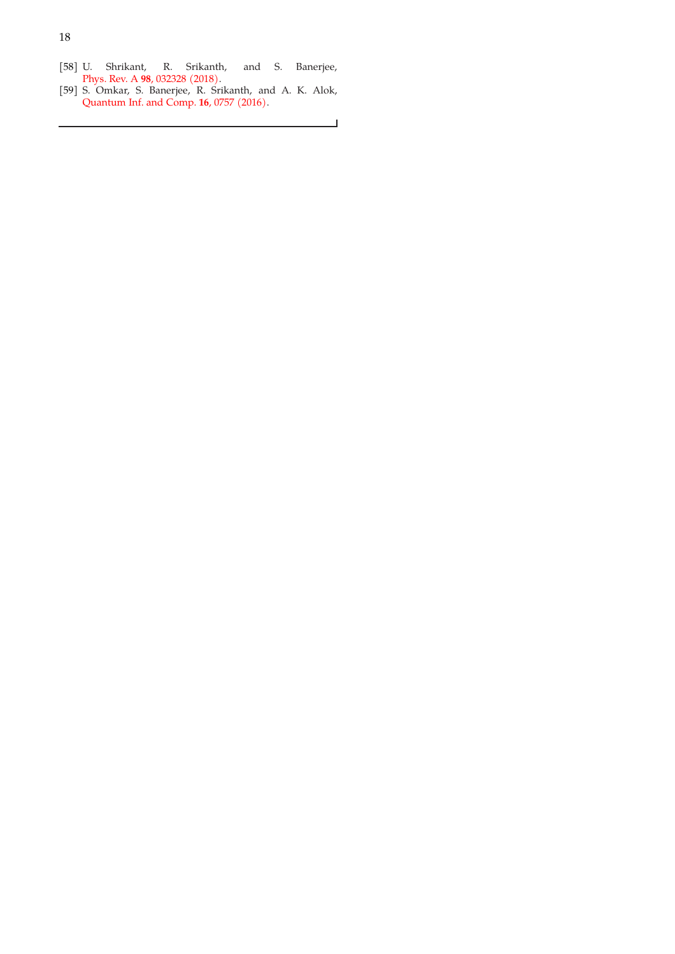- [58] U. Shrikant, R. Srikanth, and S. Banerjee, Phys. Rev. A **98**, 032328 (2018).
- [59] S. Omkar, S. Banerjee, R. Srikanth, and A. K. Alok, Quantum Inf. and Comp. **16**, 0757 (2016).

 $\Box$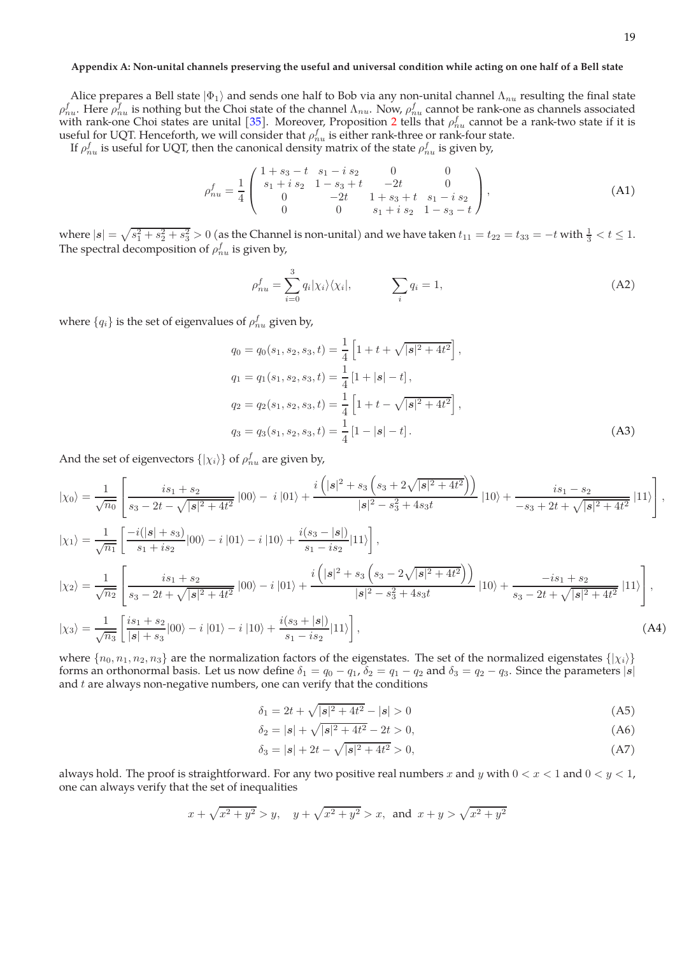# **Appendix A: Non-unital channels preserving the useful and universal condition while acting on one half of a Bell state**

Alice prepares a Bell state  $|\Phi_1\rangle$  and sends one half to Bob via any non-unital channel  $\Lambda_{nu}$  resulting the final state  $ρ_{nu}^f$ . Here  $ρ_{nu}^f$  is nothing but the Choi state of the channel  $Λ_{nu}$ . Now,  $ρ_{nu}^f$  cannot be rank-one as channels associated with rank-one Choi states are unital [35]. Moreover, Proposition 2 tells that  $\rho_{nu}^f$  cannot be a rank-two state if it is useful for UQT. Henceforth, we will consider that  $\rho_{nu}^{f}$  is either rank-three or rank-four state.

If  $\rho_{nu}^f$  is useful for UQT, then the canonical density matrix of the state  $\rho_{nu}^f$  is given by,

$$
\rho_{nu}^{f} = \frac{1}{4} \begin{pmatrix} 1+s_3-t & s_1-i & s_2 & 0 & 0 \\ s_1+i & s_2 & 1-s_3+t & -2t & 0 \\ 0 & -2t & 1+s_3+t & s_1-i & s_2 \\ 0 & 0 & s_1+i & s_2 & 1-s_3-t \end{pmatrix},
$$
(A1)

where  $|s| = \sqrt{s_1^2 + s_2^2 + s_3^2} > 0$  (as the Channel is non-unital) and we have taken  $t_{11} = t_{22} = t_{33} = -t$  with  $\frac{1}{3} < t \leq 1$ . The spectral decomposition of  $\rho_{nu}^{f}$  is given by,

$$
\rho_{nu}^f = \sum_{i=0}^3 q_i |\chi_i\rangle\langle\chi_i|, \qquad \sum_i q_i = 1,
$$
\n(A2)

where  $\{q_i\}$  is the set of eigenvalues of  $\rho_{nu}^f$  given by,

$$
q_0 = q_0(s_1, s_2, s_3, t) = \frac{1}{4} \left[ 1 + t + \sqrt{|s|^2 + 4t^2} \right],
$$
  
\n
$$
q_1 = q_1(s_1, s_2, s_3, t) = \frac{1}{4} \left[ 1 + |s| - t \right],
$$
  
\n
$$
q_2 = q_2(s_1, s_2, s_3, t) = \frac{1}{4} \left[ 1 + t - \sqrt{|s|^2 + 4t^2} \right],
$$
  
\n
$$
q_3 = q_3(s_1, s_2, s_3, t) = \frac{1}{4} \left[ 1 - |s| - t \right].
$$
\n(A3)

And the set of eigenvectors  $\{|\chi_i\rangle\}$  of  $\rho_{nu}^f$  are given by,

$$
|\chi_{0}\rangle = \frac{1}{\sqrt{n_{0}}} \left[ \frac{is_{1} + s_{2}}{s_{3} - 2t - \sqrt{|s|^{2} + 4t^{2}}} |00\rangle - i |01\rangle + \frac{i\left(|s|^{2} + s_{3}\left(s_{3} + 2\sqrt{|s|^{2} + 4t^{2}}\right)\right)}{|s|^{2} - s_{3}^{2} + 4s_{3}t} |10\rangle + \frac{is_{1} - s_{2}}{-s_{3} + 2t + \sqrt{|s|^{2} + 4t^{2}}} |11\rangle \right],
$$
  
\n
$$
|\chi_{1}\rangle = \frac{1}{\sqrt{n_{1}}} \left[ \frac{-i(|s| + s_{3})}{s_{1} + is_{2}} |00\rangle - i |01\rangle - i |10\rangle + \frac{i(s_{3} - |s|)}{s_{1} - is_{2}} |11\rangle \right],
$$
  
\n
$$
|\chi_{2}\rangle = \frac{1}{\sqrt{n_{2}}} \left[ \frac{is_{1} + s_{2}}{s_{3} - 2t + \sqrt{|s|^{2} + 4t^{2}}} |00\rangle - i |01\rangle + \frac{i\left(|s|^{2} + s_{3}\left(s_{3} - 2\sqrt{|s|^{2} + 4t^{2}}\right)\right)}{|s|^{2} - s_{3}^{2} + 4s_{3}t} |10\rangle + \frac{-is_{1} + s_{2}}{s_{3} - 2t + \sqrt{|s|^{2} + 4t^{2}}} |11\rangle \right],
$$
  
\n
$$
|\chi_{3}\rangle = \frac{1}{\sqrt{n_{2}}} \left[ \frac{is_{1} + s_{2}}{|s| + s_{3}} |00\rangle - i |01\rangle - i |10\rangle + \frac{i(s_{3} + |s|)}{s_{1} - is_{3}} |11\rangle \right],
$$
  
\n(A4)

$$
|\chi_3\rangle = \frac{1}{\sqrt{n_3}} \left[ \frac{1}{|s| + s_3} |00\rangle - i |01\rangle - i |10\rangle + \frac{1}{s_1 - is_2} |11\rangle \right],
$$
  
where  $\{n_0, n_1, n_2, n_3\}$  are the normalization factors of the eigenstates. The set of the normalized eigenstates  $\{|\chi_i\rangle\}$ 

forms an orthonormal basis. Let us now define  $\delta_1 = q_0 - q_1$ ,  $\delta_2 = q_1 - q_2$  and  $\delta_3 = q_2 - q_3$ . Since the parameters  $|s|$ and  $t$  are always non-negative numbers, one can verify that the conditions

$$
\delta_1 = 2t + \sqrt{|s|^2 + 4t^2} - |s| > 0 \tag{A5}
$$

$$
\delta_2 = |\mathbf{s}| + \sqrt{|\mathbf{s}|^2 + 4t^2} - 2t > 0,\tag{A6}
$$

$$
\delta_3 = |\mathbf{s}| + 2t - \sqrt{|\mathbf{s}|^2 + 4t^2} > 0,\tag{A7}
$$

always hold. The proof is straightforward. For any two positive real numbers x and y with  $0 < x < 1$  and  $0 < y < 1$ , one can always verify that the set of inequalities

$$
x + \sqrt{x^2 + y^2} > y
$$
,  $y + \sqrt{x^2 + y^2} > x$ , and  $x + y > \sqrt{x^2 + y^2}$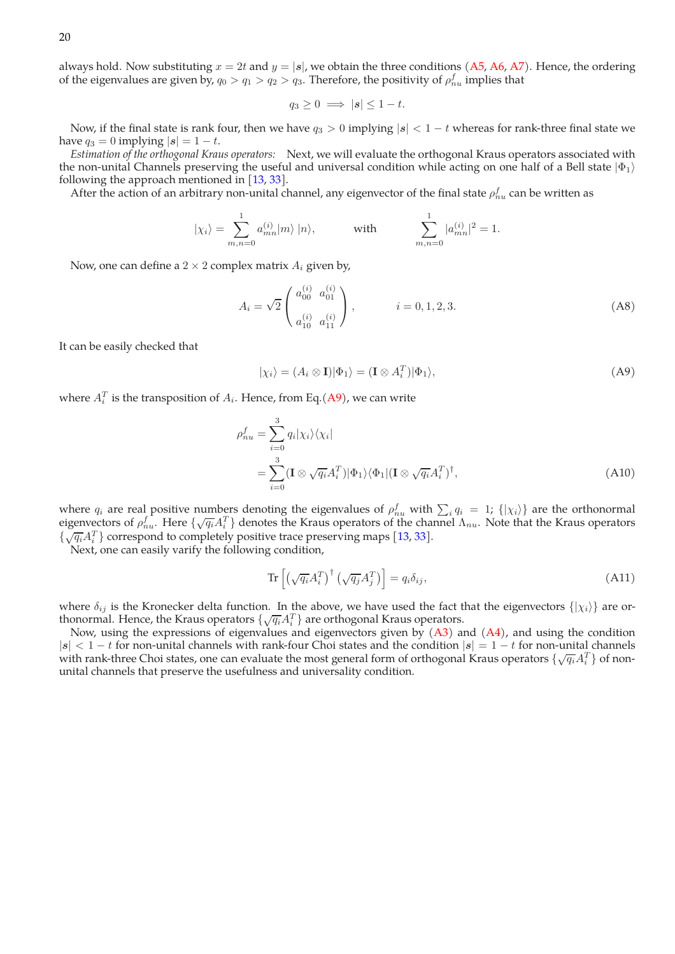always hold. Now substituting  $x = 2t$  and  $y = |s|$ , we obtain the three conditions (A5, A6, A7). Hence, the ordering of the eigenvalues are given by,  $q_0 > q_1 > q_2 > q_3$ . Therefore, the positivity of  $\rho_{nu}^f$  implies that

$$
q_3 \ge 0 \implies |\boldsymbol{s}| \le 1 - t.
$$

Now, if the final state is rank four, then we have  $q_3 > 0$  implying  $|s| < 1 - t$  whereas for rank-three final state we have  $q_3 = 0$  implying  $|s| = 1 - t$ .

*Estimation of the orthogonal Kraus operators:* Next, we will evaluate the orthogonal Kraus operators associated with the non-unital Channels preserving the useful and universal condition while acting on one half of a Bell state  $|\Phi_1\rangle$ following the approach mentioned in [13, 33].

After the action of an arbitrary non-unital channel, any eigenvector of the final state  $\rho_{nu}^f$  can be written as

$$
|\chi_i\rangle = \sum_{m,n=0}^1 a_{mn}^{(i)} |m\rangle |n\rangle
$$
, with  $\sum_{m,n=0}^1 |a_{mn}^{(i)}|^2 = 1$ .

Now, one can define a  $2 \times 2$  complex matrix  $A_i$  given by,

$$
A_i = \sqrt{2} \begin{pmatrix} a_{00}^{(i)} & a_{01}^{(i)} \\ a_{10}^{(i)} & a_{11}^{(i)} \end{pmatrix}, \qquad i = 0, 1, 2, 3.
$$
 (A8)

It can be easily checked that

$$
|\chi_i\rangle = (A_i \otimes \mathbf{I})|\Phi_1\rangle = (\mathbf{I} \otimes A_i^T)|\Phi_1\rangle,
$$
 (A9)

where  $A_i^T$  is the transposition of  $A_i$ . Hence, from Eq.(A9), we can write

$$
\rho_{nu}^f = \sum_{i=0}^3 q_i |\chi_i\rangle\langle\chi_i|
$$
  
= 
$$
\sum_{i=0}^3 (\mathbf{I} \otimes \sqrt{q_i} A_i^T) |\Phi_1\rangle\langle\Phi_1| (\mathbf{I} \otimes \sqrt{q_i} A_i^T)^{\dagger},
$$
 (A10)

where  $q_i$  are real positive numbers denoting the eigenvalues of  $\rho_{nu}^f$  with  $\sum_i q_i = 1$ ;  $\{|\chi_i\rangle\}$  are the orthonormal eigenvectors of  $\rho_{nu}^{f}$ . Here  $\{\sqrt{q_i}A_i^T\}$  denotes the Kraus operators of the channel  $\Lambda_{nu}$ . Note that the Kraus operators  $\{\sqrt{q_i}A_i^T\}$  correspond to completely positive trace preserving maps [13, 33].

Next, one can easily varify the following condition,

$$
\operatorname{Tr}\left[\left(\sqrt{q_i}A_i^T\right)^{\dagger}\left(\sqrt{q_j}A_j^T\right)\right] = q_i\delta_{ij},\tag{A11}
$$

where  $\delta_{ij}$  is the Kronecker delta function. In the above, we have used the fact that the eigenvectors  $\{|\chi_i\rangle\}$  are orthonormal. Hence, the Kraus operators  $\{\sqrt{q_i}A_i^T\}$  are orthogonal Kraus operators.

Now, using the expressions of eigenvalues and eigenvectors given by  $(A3)$  and  $(A4)$ , and using the condition  $|s| < 1-t$  for non-unital channels with rank-four Choi states and the condition  $|s| = 1-t$  for non-unital channels with rank-three Choi states, one can evaluate the most general form of orthogonal Kraus operators  $\{\sqrt{q_i}A_i^T\}$  of nonunital channels that preserve the usefulness and universality condition.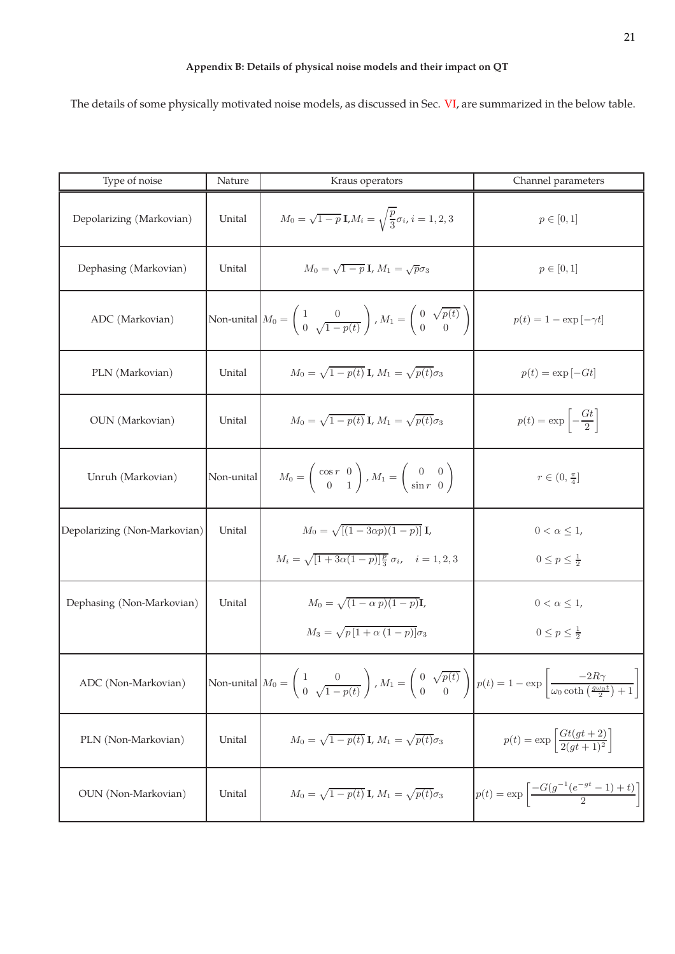The details of some physically motivated noise models, as discussed in Sec. VI, are summarized in the below table.

| Type of noise                | Nature     | Kraus operators                                                                                                                                 | Channel parameters                                                                                   |
|------------------------------|------------|-------------------------------------------------------------------------------------------------------------------------------------------------|------------------------------------------------------------------------------------------------------|
| Depolarizing (Markovian)     | Unital     | $M_0 = \sqrt{1-p} \text{ I}, M_i = \sqrt{\frac{p}{3}} \sigma_i, i = 1, 2, 3$                                                                    | $p \in [0, 1]$                                                                                       |
| Dephasing (Markovian)        | Unital     | $M_0 = \sqrt{1-p} \mathbf{I}, M_1 = \sqrt{p}\sigma_3$                                                                                           | $p \in [0, 1]$                                                                                       |
| ADC (Markovian)              |            | Non-unital $M_0 = \begin{pmatrix} 1 & 0 \\ 0 & \sqrt{1-p(t)} \end{pmatrix}$ , $M_1 = \begin{pmatrix} 0 & \sqrt{p(t)} \\ 0 & 0 \end{pmatrix}$    | $p(t) = 1 - \exp[-\gamma t]$                                                                         |
| PLN (Markovian)              | Unital     | $M_0 = \sqrt{1-p(t)}$ I, $M_1 = \sqrt{p(t)}\sigma_3$                                                                                            | $p(t) = \exp[-Gt]$                                                                                   |
| OUN (Markovian)              | Unital     | $M_0 = \sqrt{1-p(t)}$ I, $M_1 = \sqrt{p(t)}\sigma_3$                                                                                            | $p(t) = \exp\left[-\frac{Gt}{2}\right]$                                                              |
| Unruh (Markovian)            | Non-unital | $M_0 = \left(\begin{array}{cc} \cos r & 0 \\ 0 & 1 \end{array}\right)$ , $M_1 = \left(\begin{array}{cc} 0 & 0 \\ \sin r & 0 \end{array}\right)$ | $r\in(0,\frac{\pi}{4}]$                                                                              |
| Depolarizing (Non-Markovian) | Unital     | $M_0 = \sqrt{[(1-3\alpha p)(1-p)]}$ I,<br>$M_i = \sqrt{[1 + 3\alpha(1-p)]\frac{p}{3}} \sigma_i, \quad i = 1, 2, 3$                              | $0 < \alpha \leq 1$ ,<br>$0\leq p\leq \frac{1}{2}$                                                   |
| Dephasing (Non-Markovian)    | Unital     | $M_0 = \sqrt{(1-\alpha p)(1-p)}\mathbf{I},$<br>$M_3 = \sqrt{p\left[1 + \alpha\left(1 - p\right)\right]} \sigma_3$                               | $0 < \alpha \leq 1$ ,<br>$0 \leq p \leq \frac{1}{2}$                                                 |
| ADC (Non-Markovian)          |            | Non-unital $M_0 = \begin{pmatrix} 1 & 0 \\ 0 & \sqrt{1-p(t)} \end{pmatrix}$ , $M_1 = \begin{pmatrix} 0 & \sqrt{p(t)} \\ 0 & 0 \end{pmatrix}$    | $p(t) = 1 - \exp\left[\frac{-2R\gamma}{\omega_0 \coth\left(\frac{g\omega_0 t}{2}\right) + 1}\right]$ |
| PLN (Non-Markovian)          | Unital     | $M_0 = \sqrt{1-p(t)}$ <b>I</b> , $M_1 = \sqrt{p(t)}\sigma_3$                                                                                    | $p(t) = \exp \left[ \frac{Gt(gt + 2)}{2(qt + 1)^2} \right]$                                          |
| OUN (Non-Markovian)          | Unital     | $M_0 = \sqrt{1-p(t)}$ <b>I</b> , $M_1 = \sqrt{p(t)}\sigma_3$                                                                                    | $p(t) = \exp \left[ \frac{-G(g^{-1}(e^{-gt} - 1) + t)}{2} \right]$                                   |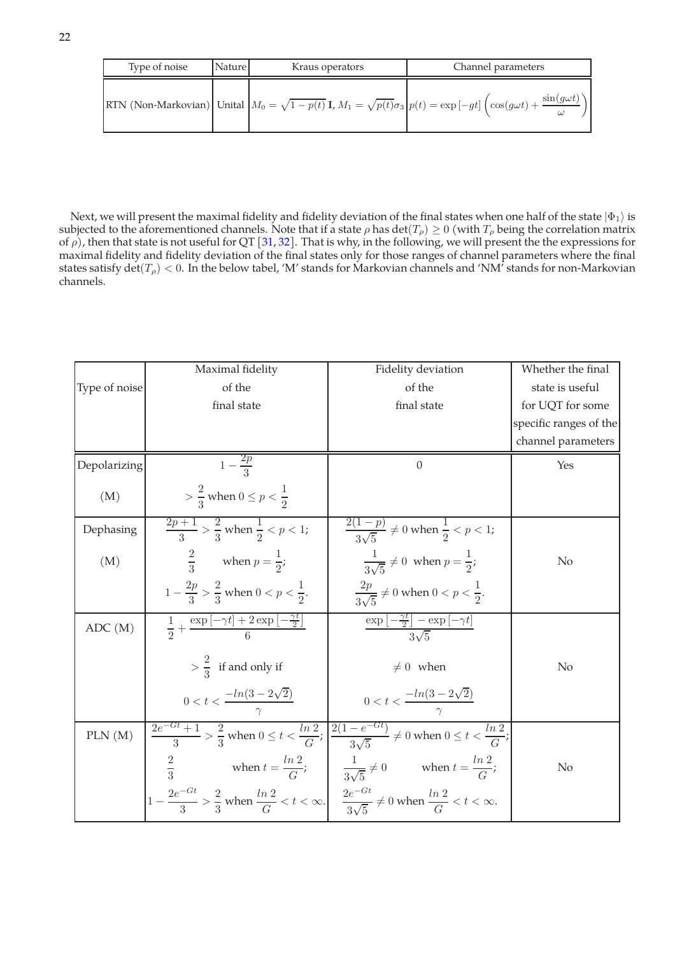| Type of noise | Nature | Kraus operators | Channel parameters                                                                                                                                                             |
|---------------|--------|-----------------|--------------------------------------------------------------------------------------------------------------------------------------------------------------------------------|
|               |        |                 | RTN (Non-Markovian) Unital $M_0 = \sqrt{1-p(t)} \mathbf{I}$ , $M_1 = \sqrt{p(t)} \sigma_3 \Big  p(t) = \exp[-gt] \Big( \cos(g\omega t) + \frac{\sin(g\omega t)}{1-p(t)} \Big)$ |

Next, we will present the maximal fidelity and fidelity deviation of the final states when one half of the state  $|\Phi_1\rangle$  is subjected to the aforementioned channels. Note that if a state  $\rho$  has det( $T_\rho$ )  $\geq 0$  (with  $T_\rho$  being the correlation matrix of  $\rho$ ), then that state is not useful for QT [31, 32]. That is why, in the following, we will present the the expressions for maximal fidelity and fidelity deviation of the final states only for those ranges of channel parameters where the final states satisfy  $det(T_\rho) < 0$ . In the below tabel, 'M' stands for Markovian channels and 'NM' stands for non-Markovian channels.

|               | Maximal fidelity                                                                                                                                                         | Fidelity deviation                                                                                                                                | Whether the final      |
|---------------|--------------------------------------------------------------------------------------------------------------------------------------------------------------------------|---------------------------------------------------------------------------------------------------------------------------------------------------|------------------------|
| Type of noise | of the                                                                                                                                                                   | of the                                                                                                                                            | state is useful        |
|               | final state                                                                                                                                                              | final state                                                                                                                                       | for UQT for some       |
|               |                                                                                                                                                                          |                                                                                                                                                   | specific ranges of the |
|               |                                                                                                                                                                          |                                                                                                                                                   | channel parameters     |
| Depolarizing  | $1-\frac{2p}{2}$                                                                                                                                                         | $\overline{0}$                                                                                                                                    | Yes                    |
| (M)           | $> \frac{2}{3}$ when $0 \le p < \frac{1}{2}$                                                                                                                             |                                                                                                                                                   |                        |
| Dephasing     | $\frac{\sqrt{2p}+1}{3}$ > $\frac{2}{3}$ when $\frac{1}{2}$ < p < 1;                                                                                                      | $rac{2(1-p)}{3\sqrt{5}} \neq 0$ when $\frac{1}{2} < p < 1$ ;                                                                                      |                        |
| (M)           | $rac{2}{3}$ when $p = \frac{1}{2}$ ;                                                                                                                                     | $\frac{1}{3\sqrt{5}} \neq 0$ when $p = \frac{1}{2}$ ;                                                                                             | No                     |
|               | $1-\frac{2p}{2} > \frac{2}{3}$ when $0 < p < \frac{1}{2}$ .                                                                                                              | $\frac{2p}{3\sqrt{5}} \neq 0$ when $0 < p < \frac{1}{2}$ .                                                                                        |                        |
| ADC (M)       | $\frac{1}{2} + \frac{\exp[-\gamma t] + 2 \exp \left[-\frac{\gamma t}{2}\right]}{\epsilon}$                                                                               | $\frac{\exp\left[-\frac{\gamma t}{2}\right]-\exp\left[-\gamma t\right]}{3\sqrt{5}}$                                                               |                        |
|               | $>$ $\frac{2}{3}$ if and only if                                                                                                                                         | $\neq 0$ when                                                                                                                                     | N <sub>o</sub>         |
|               | $0 < t < \frac{-\ln(3 - 2\sqrt{2})}{2}$                                                                                                                                  | $0 < t < \frac{-\ln(3 - 2\sqrt{2})}{\ln 3}$                                                                                                       |                        |
| PLN(M)        |                                                                                                                                                                          | $\frac{2e^{-Gt}+1}{3} > \frac{2}{3}$ when $0 \le t < \frac{\ln 2}{G}$ ; $\frac{2(1-e^{-Gt})}{3\sqrt{5}} \ne 0$ when $0 \le t < \frac{\ln 2}{G}$ ; |                        |
|               | $\frac{2}{3}$ when $t = \frac{\ln 2}{G}$ ; $\frac{1}{3\sqrt{5}} \neq 0$ when $t = \frac{\ln 2}{G}$ ;                                                                     |                                                                                                                                                   | No                     |
|               | $\left 1-\frac{2e^{-Gt}}{3}\right \frac{2}{3}$ when $\frac{\ln 2}{G}< t < \infty$ . $\left \frac{2e^{-Gt}}{3\sqrt{5}}\right \neq 0$ when $\frac{\ln 2}{G}< t < \infty$ . |                                                                                                                                                   |                        |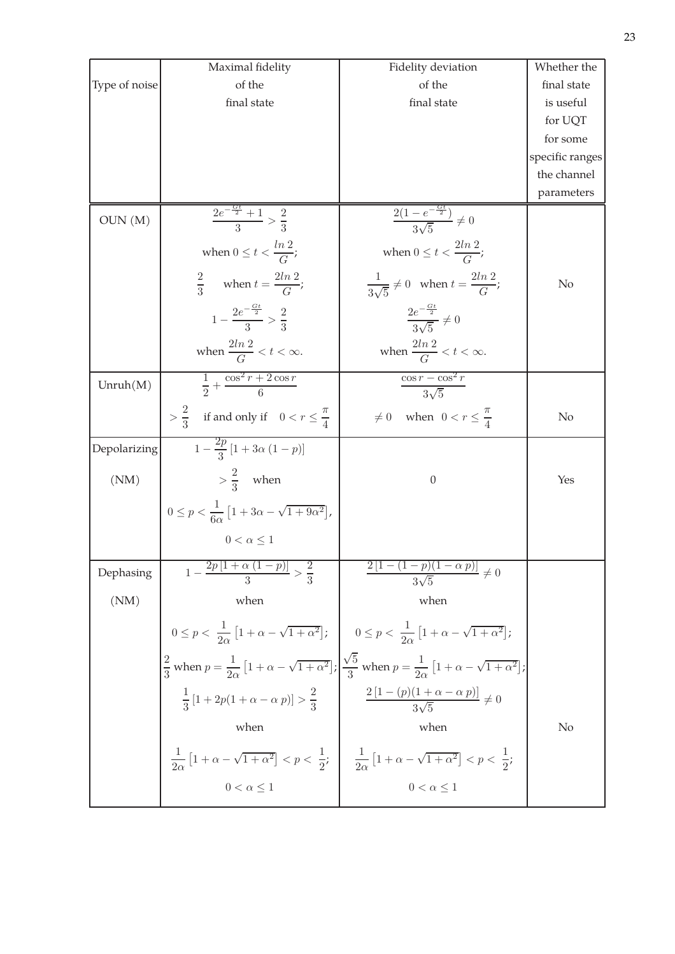|               | Maximal fidelity                                                                 | Fidelity deviation                                                                                                                                                                               | Whether the     |
|---------------|----------------------------------------------------------------------------------|--------------------------------------------------------------------------------------------------------------------------------------------------------------------------------------------------|-----------------|
| Type of noise | of the                                                                           | of the                                                                                                                                                                                           | final state     |
|               | final state                                                                      | final state                                                                                                                                                                                      | is useful       |
|               |                                                                                  |                                                                                                                                                                                                  | for UQT         |
|               |                                                                                  |                                                                                                                                                                                                  | for some        |
|               |                                                                                  |                                                                                                                                                                                                  | specific ranges |
|               |                                                                                  |                                                                                                                                                                                                  | the channel     |
|               |                                                                                  |                                                                                                                                                                                                  | parameters      |
| OUN(M)        | $\frac{2e^{-\frac{Gt}{2}}+1}{2} > \frac{2}{2}$                                   | $\frac{2(1-e^{-\frac{Gt}{2}})}{3\sqrt{5}} \neq 0$                                                                                                                                                |                 |
|               |                                                                                  |                                                                                                                                                                                                  |                 |
|               | when $0 \le t < \frac{\ln 2}{C}$ ;                                               | when $0 \le t < \frac{2\ln 2}{C}$ ;                                                                                                                                                              |                 |
|               | $rac{2}{3}$ when $t = \frac{2ln 2}{G}$ ;                                         | $rac{1}{3\sqrt{5}} \neq 0$ when $t = \frac{2\ln 2}{G}$ ;                                                                                                                                         | No              |
|               | $1-\frac{2e^{-\frac{Gt}{2}}}{3} > \frac{2}{3}$                                   | $\frac{2e^{-\frac{Gt}{2}}}{3\sqrt{5}} \neq 0$                                                                                                                                                    |                 |
|               | when $\frac{2ln 2}{G} < t < \infty$ .                                            | when $\frac{2ln 2}{G} < t < \infty$ .                                                                                                                                                            |                 |
| Unruh(M)      | $\frac{1}{2} + \frac{\cos^2 r + 2\cos r}{6}$                                     | $\frac{\cos r - \cos^2 r}{3\sqrt{5}}$                                                                                                                                                            |                 |
|               |                                                                                  |                                                                                                                                                                                                  |                 |
|               | $>$ $\frac{2}{3}$ if and only if $0 < r \leq \frac{\pi}{4}$                      | $\neq 0$ when $0 < r \leq \frac{\pi}{4}$                                                                                                                                                         | No              |
| Depolarizing  | $\sqrt{1-\frac{2p}{3}}[1+3\alpha(1-p)]$                                          |                                                                                                                                                                                                  |                 |
| (NM)          | $>\frac{2}{3}$ when                                                              | $\theta$                                                                                                                                                                                         | Yes             |
|               | $0 \le p < \frac{1}{6\alpha} \left[ 1 + 3\alpha - \sqrt{1 + 9\alpha^2} \right],$ |                                                                                                                                                                                                  |                 |
|               | $0 < \alpha \leq 1$                                                              |                                                                                                                                                                                                  |                 |
| Dephasing     | $1-\frac{2p[1+\alpha(1-p)]}{2} > \frac{2}{3}$                                    | $\frac{2[1-(1-p)(1-\alpha p)]}{2\sqrt{5}} \neq 0$                                                                                                                                                |                 |
| (NM)          | when                                                                             | when                                                                                                                                                                                             |                 |
|               |                                                                                  | $0 \le p < \frac{1}{2\alpha} \left[ 1 + \alpha - \sqrt{1 + \alpha^2} \right];$ $0 \le p < \frac{1}{2\alpha} \left[ 1 + \alpha - \sqrt{1 + \alpha^2} \right];$                                    |                 |
|               |                                                                                  | $\frac{2}{3}$ when $p = \frac{1}{2\alpha} \left[ 1 + \alpha - \sqrt{1 + \alpha^2} \right]$ ; $\frac{\sqrt{5}}{3}$ when $p = \frac{1}{2\alpha} \left[ 1 + \alpha - \sqrt{1 + \alpha^2} \right]$ ; |                 |
|               |                                                                                  |                                                                                                                                                                                                  |                 |
|               | $\frac{1}{3}[1+2p(1+\alpha-\alpha p)]>\frac{2}{3}$                               | $\frac{2\left[1-(p)(1+\alpha-\alpha\;p)\right]}{3\sqrt{5}}\neq 0$                                                                                                                                |                 |
|               | when                                                                             | when                                                                                                                                                                                             | No              |
|               |                                                                                  | $\frac{1}{2\alpha}\left[1+\alpha-\sqrt{1+\alpha^2}\right] < p < \frac{1}{2};$ $\frac{1}{2\alpha}\left[1+\alpha-\sqrt{1+\alpha^2}\right] < p < \frac{1}{2};$                                      |                 |
|               | $0 < \alpha \leq 1$                                                              | $0 < \alpha \leq 1$                                                                                                                                                                              |                 |